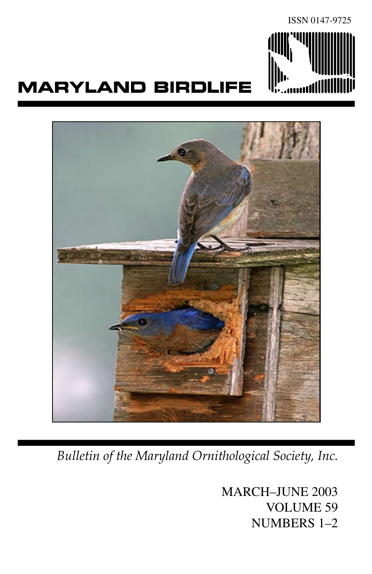

# **MARYLAND BIRDLIFE**



*Bulletin of the Maryland Ornithological Society, Inc.*

MARCH–JUNE 2003 VOLUME 59 NUMBERS 1–2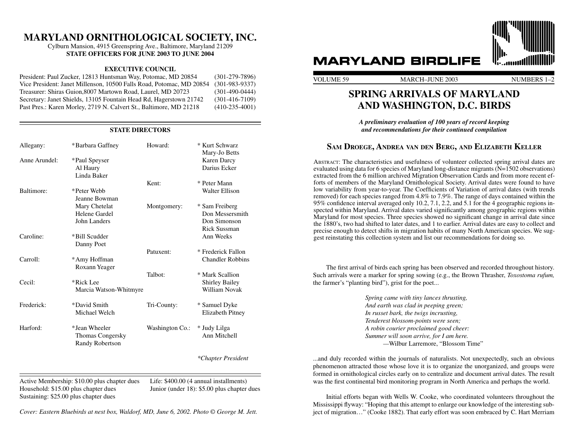## **MARYLAND ORNITHOLOGICAL SOCIETY, INC.**

Cylburn Mansion, 4915 Greenspring Ave., Baltimore, Maryland 21209 **STATE OFFICERS FOR JUNE 2003 TO JUNE 2004** 

#### **EXECUTIVE COUNCIL**

President: Paul Zucker, 12813 Huntsman Way, Potomac, MD 20854 (301-279-7896) Vice President: Janet Millenson, 10500 Falls Road, Potomac, MD 20854 (301-983-9337) Treasurer: Shiras Guion,8007 Martown Road, Laurel, MD 20723 (301-490-0444) Secretary: Janet Shields, 13105 Fountain Head Rd, Hagerstown 21742 (301-416-7109) Past Pres.: Karen Morley, 2719 N. Calvert St., Baltimore, MD 21218 (410-235-4001)

**STATE DIRECTORS**

| STATE DIKEUTUKS |                                                                    |                 |                                                                          |  |
|-----------------|--------------------------------------------------------------------|-----------------|--------------------------------------------------------------------------|--|
| Allegany:       | *Barbara Gaffney                                                   | Howard:         | * Kurt Schwarz<br>Mary-Jo Betts                                          |  |
| Anne Arundel:   | *Paul Speyser<br>Al Haury                                          |                 | Karen Darcy<br>Darius Ecker                                              |  |
|                 | Linda Baker                                                        | Kent:           | * Peter Mann                                                             |  |
| Baltimore:      | *Peter Webb<br>Jeanne Bowman                                       |                 | Walter Ellison                                                           |  |
|                 | Mary Chetelat<br>Helene Gardel<br>John Landers                     | Montgomery:     | * Sam Freiberg<br>Don Messersmith<br>Don Simonson<br><b>Rick Sussman</b> |  |
| Caroline:       | *Bill Scudder<br>Danny Poet                                        |                 | Ann Weeks                                                                |  |
| Carroll:        | *Amy Hoffman<br>Roxann Yeager                                      | Patuxent:       | * Frederick Fallon<br><b>Chandler Robbins</b>                            |  |
| Cecil:          | *Rick Lee<br>Marcia Watson-Whitmyre                                | Talbot:         | * Mark Scallion<br><b>Shirley Bailey</b><br>William Novak                |  |
| Frederick:      | *David Smith<br>Michael Welch                                      | Tri-County:     | * Samuel Dyke<br>Elizabeth Pitney                                        |  |
| Harford:        | *Jean Wheeler<br><b>Thomas Congersky</b><br><b>Randy Robertson</b> | Washington Co.: | * Judy Lilga<br>Ann Mitchell                                             |  |
|                 |                                                                    |                 | *Chapter President                                                       |  |

Active Membership: \$10.00 plus chapter dues Life: \$400.00 (4 annual installments) Household: \$15.00 plus chapter dues Junior (under 18): \$5.00 plus chapter dues Sustaining: \$25.00 plus chapter dues

 $\overline{a}$ 

*Cover: Eastern Bluebirds at nest box, Waldorf, MD, June 6, 2002. Photo © George M. Jett.*



# **MARYLAND BIRDLIFE**

VOLUME 59 MARCH–JUNE 2003 NUMBERS 1–2

## **Spring Arrivals OF Maryland and Washington, D.C. Birds**

*A preliminary evaluation of 100 years of record keeping and recommendations for their continued compilation*

## **Sam Droege, Andrea van den Berg, and Elizabeth Keller**

Abstract: The characteristics and usefulness of volunteer collected spring arrival dates are evaluated using data for 6 species of Maryland long-distance migrants  $(N=1502$  observations) extracted from the 6 million archived Migration Observation Cards and from more recent efforts of members of the Maryland Ornithological Society. Arrival dates were found to have low variability from year-to-year. The Coefficients of Variation of arrival dates (with trends removed) for each species ranged from 4.8% to 7.9%. The range of days contained within the 95% confidence interval averaged only 10.2, 7.1, 2.2, and 5.1 for the 4 geographic regions inspected within Maryland. Arrival dates varied significantly among geographic regions within Maryland for most species. Three species showed no significant change in arrival date since the 1880's, two had shifted to later dates, and 1 to earlier. Arrival dates are easy to collect and precise enough to detect shifts in migration habits of many North American species. We suggest reinstating this collection system and list our recommendations for doing so.

The first arrival of birds each spring has been observed and recorded throughout history. Such arrivals were a marker for spring sowing (e.g., the Brown Thrasher, *Toxostoma rufum,* the farmer's "planting bird"), grist for the poet...

> *Spring came with tiny lances thrusting, And earth was clad in peeping green; In russet bark, the twigs incrusting, Tenderest blossom-points were seen; A robin courier proclaimed good cheer: Summer will soon arrive, for I am here. —*Wilbur Larremore, "Blossom Time"

...and duly recorded within the journals of naturalists. Not unexpectedly, such an obvious phenomenon attracted those whose love it is to organize the unorganized, and groups were formed in ornithological circles early on to centralize and document arrival dates. The result was the first continental bird monitoring program in North America and perhaps the world.

Initial efforts began with Wells W. Cooke, who coordinated volunteers throughout the Mississippi flyway: "Hoping that this attempt to enlarge our knowledge of the interesting subject of migration…" (Cooke 1882). That early effort was soon embraced by C. Hart Merriam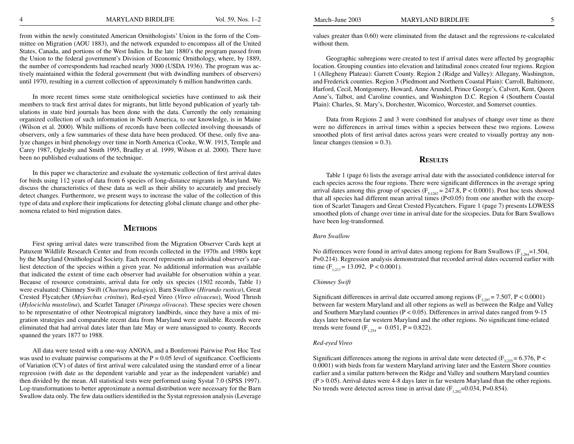from within the newly constituted American Ornithologists' Union in the form of the Committee on Migration (AOU 1883), and the network expanded to encompass all of the United States, Canada, and portions of the West Indies. In the late 1880's the program passed from the Union to the federal government's Division of Economic Ornithology, where, by 1889, the number of correspondents had reached nearly 3000 (USDA 1936). The program was actively maintained within the federal government (but with dwindling numbers of observers) until 1970, resulting in a current collection of approximately 6 million handwritten cards.

In more recent times some state ornithological societies have continued to ask their members to track first arrival dates for migrants, but little beyond publication of yearly tabulations in state bird journals has been done with the data. Currently the only remaining organized collection of such information in North America, to our knowledge, is in Maine (Wilson et al. 2000). While millions of records have been collected involving thousands of observers, only a few summaries of these data have been produced. Of these, only five analyze changes in bird phenology over time in North America (Cooke, W.W. 1915, Temple and Carey 1987, Oglesby and Smith 1995, Bradley et al. 1999, Wilson et al. 2000). There have been no published evaluations of the technique.

In this paper we characterize and evaluate the systematic collection of first arrival dates for birds using 112 years of data from 6 species of long-distance migrants in Maryland. We discuss the characteristics of these data as well as their ability to accurately and precisely detect changes. Furthermore, we present ways to increase the value of the collection of this type of data and explore their implications for detecting global climate change and other phenomena related to bird migration dates.

#### **Methods**

First spring arrival dates were transcribed from the Migration Observer Cards kept at Patuxent Wildlife Research Center and from records collected in the 1970s and 1980s kept by the Maryland Ornithological Society. Each record represents an individual observer's earliest detection of the species within a given year. No additional information was available that indicated the extent of time each observer had available for observation within a year. Because of resource constraints, arrival data for only six species (1502 records, Table 1) were evaluated: Chimney Swift (*Chaetura pelagica*), Barn Swallow (*Hirundo rustica*), Great Crested Flycatcher (*Myiarchus crinitus*), Red-eyed Vireo (*Vireo olivaceus*), Wood Thrush (*Hylocichla mustelina*), and Scarlet Tanager (*Piranga olivacea*). These species were chosen to be representative of other Neotropical migratory landbirds, since they have a mix of migration strategies and comparable recent data from Maryland were available. Records were eliminated that had arrival dates later than late May or were unassigned to county. Records spanned the years 1877 to 1988.

All data were tested with a one-way ANOVA, and a Bonferroni Pairwise Post Hoc Test was used to evaluate pairwise comparisons at the  $P = 0.05$  level of significance. Coefficients of Variation (CV) of dates of first arrival were calculated using the standard error of a linear regression (with date as the dependent variable and year as the independent variable) and then divided by the mean. All statistical tests were performed using Systat 7.0 (SPSS 1997). Log-transformations to better approximate a normal distribution were necessary for the Barn Swallow data only. The few data outliers identified in the Systat regression analysis (Leverage values greater than 0.60) were eliminated from the dataset and the regressions re-calculated without them.

Geographic subregions were created to test if arrival dates were affected by geographic location. Grouping counties into elevation and latitudinal zones created four regions. Region 1 (Allegheny Plateau): Garrett County. Region 2 (Ridge and Valley): Allegany, Washington, and Frederick counties. Region 3 (Piedmont and Northern Coastal Plain): Carroll, Baltimore, Harford, Cecil, Montgomery, Howard, Anne Arundel, Prince George's, Calvert, Kent, Queen Anne's, Talbot, and Caroline counties, and Washington D.C. Region 4 (Southern Coastal Plain): Charles, St. Mary's, Dorchester, Wicomico, Worcester, and Somerset counties.

Data from Regions 2 and 3 were combined for analyses of change over time as there were no differences in arrival times within a species between these two regions. Lowess smoothed plots of first arrival dates across years were created to visually portray any nonlinear changes (tension  $= 0.3$ ).

## **Results**

Table 1 (page 6) lists the average arrival date with the associated confidence interval for each species across the four regions. There were significant differences in the average spring arrival dates among this group of species ( $F_{5,1267} = 247.8$ , P < 0.0001). Post hoc tests showed that all species had different mean arrival times  $(P<0.05)$  from one another with the exception of Scarlet Tanagers and Great Crested Flycatchers. Figure 1 (page 7) presents LOWESS smoothed plots of change over time in arrival date for the sixspecies. Data for Barn Swallows have been log-transformed.

#### *Barn Swallow*

No differences were found in arrival dates among regions for Barn Swallows ( $F_{3,264}$ =1.504, P=0.214). Regression analysis demonstrated that recorded arrival dates occurred earlier with time (F<sub>1,217</sub> = 13.092, P < 0.0001).

#### *Chimney Swift*

Significant differences in arrival date occurred among regions ( $F_{3,297}$  = 7.507, P < 0.0001) between far western Maryland and all other regions as well as between the Ridge and Valley and Southern Maryland counties ( $P < 0.05$ ). Differences in arrival dates ranged from 9-15 days later between far western Maryland and the other regions. No significant time-related trends were found  $(F_{1,254} = 0.051, P = 0.822)$ .

#### *Red-eyed Vireo*

Significant differences among the regions in arrival date were detected ( $F_{3,233} = 6.376$ , P < 0.0001) with birds from far western Maryland arriving later and the Eastern Shore counties earlier and a similar pattern between the Ridge and Valley and southern Maryland counties (P > 0.05). Arrival dates were 4-8 days later in far western Maryland than the other regions. No trends were detected across time in arrival date  $(F_{1,202}=0.034, P=0.854)$ .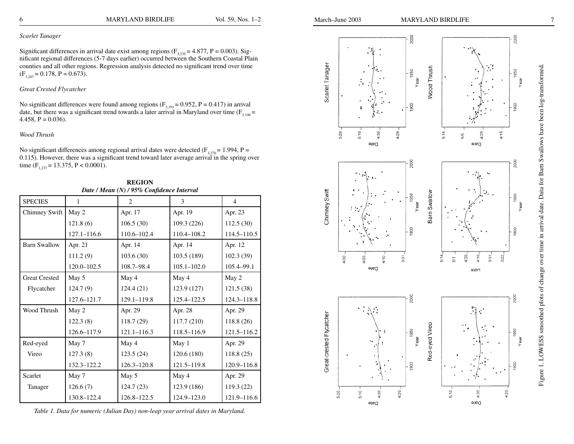#### *Scarlet Tanager*

Significant differences in arrival date exist among regions  $(F_{3,235} = 4.877, P = 0.003)$ . Significant regional differences (5-7 days earlier) occurred between the Southern Coastal Plain counties and all other regions. Regression analysis detected no significant trend over time  $(F_{1,207} = 0.178, P = 0.673).$ 

#### *Great Crested Flycatcher*

No significant differences were found among regions ( $F_{3,191} = 0.952$ , P = 0.417) in arrival date, but there was a significant trend towards a later arrival in Maryland over time  $(F_{1,146} =$ 4.458,  $P = 0.036$ .

#### *Wood Thrush*

No significant differences among regional arrival dates were detected  $(F_{3,270} = 1.994, P =$ 0.115). However, there was a significant trend toward later average arrival in the spring over time  $(F_{1,237} = 13.375, P < 0.0001)$ .

**REGION** *Date / Mean (N) / 95% Confidence Interval*

| <b>SPECIES</b>       | 1               | 2               | 3               | $\overline{4}$  |
|----------------------|-----------------|-----------------|-----------------|-----------------|
| Chimney Swift        | May 2           | Apr. 17         | Apr. 19         | Apr. 23         |
|                      | 121.8(6)        | 106.5(30)       | 109.3(226)      | 112.5(30)       |
|                      | $127.1 - 116.6$ | 110.6-102.4     | 110.4-108.2     | 114.5-110.5     |
| <b>Barn Swallow</b>  | Apr. 21         | Apr. 14         | Apr. 14         | Apr. 12         |
|                      | 111.2(9)        | 103.6(30)       | 103.5 (189)     | 102.3(39)       |
|                      | $120.0 - 102.5$ | 108.7-98.4      | $105.1 - 102.0$ | 105.4-99.1      |
| <b>Great Crested</b> | May 5           | May 4           | May 4           | May 2           |
| Flycatcher           | 124.7(9)        | 124.4 (21)      | 123.9 (127)     | 121.5(38)       |
|                      | 127.6-121.7     | 129.1-119.8     | 125.4-122.5     | $124.3 - 118.8$ |
| Wood Thrush          | May 2           | Apr. 29         | Apr. 28         | Apr. 29         |
|                      | 122.3(8)        | 118.7(29)       | 117.7(210)      | 118.8(26)       |
|                      | 126.6-117.9     | $121.1 - 116.3$ | 118.5-116.9     | $121.5 - 116.2$ |
| Red-eyed             | May 7           | May 4           | May 1           | Apr. 29         |
| Vireo                | 127.3(8)        | 123.5(24)       | 120.6(180)      | 118.8(25)       |
|                      | 132.3-122.2     | $126.3 - 120.8$ | 121.5-119.8     | 120.9-116.8     |
| Scarlet              | May 7           | May 5           | May 4           | Apr. 29         |
| Tanager              | 126.6(7)        | 124.7 (23)      | 123.9 (186)     | 119.3 (22)      |
|                      | 130.8-122.4     | 126.8-122.5     | 124.9-123.0     | 121.9-116.6     |

*Table 1. Data for numeric (Julian Day) non-leap year arrival dates in Maryland.*



Date

Date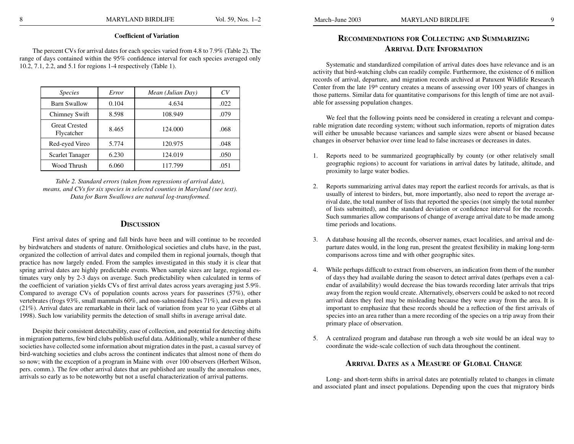#### **Coefficient of Variation**

The percent CVs for arrival dates for each species varied from 4.8 to 7.9% (Table 2). The range of days contained within the 95% confidence interval for each species averaged only 10.2, 7.1, 2.2, and 5.1 for regions 1-4 respectively (Table 1).

| <i>Species</i>                     | Error | Mean (Julian Day) | CV   |
|------------------------------------|-------|-------------------|------|
| <b>Barn Swallow</b>                | 0.104 | 4.634             | .022 |
| Chimney Swift                      | 8.598 | 108.949           | .079 |
| <b>Great Crested</b><br>Flycatcher | 8.465 | 124.000           | .068 |
| Red-eyed Vireo                     | 5.774 | 120.975           | .048 |
| <b>Scarlet Tanager</b>             | 6.230 | 124.019           | .050 |
| Wood Thrush                        | 6.060 | 117.799           | .051 |

*Table 2. Standard errors (taken from regressions of arrival date), means, and CVs for six species in selected counties in Maryland (see text). Data for Barn Swallows are natural log-transformed.*

### **Discussion**

First arrival dates of spring and fall birds have been and will continue to be recorded by birdwatchers and students of nature. Ornithological societies and clubs have, in the past, organized the collection of arrival dates and compiled them in regional journals, though that practice has now largely ended. From the samples investigated in this study it is clear that spring arrival dates are highly predictable events. When sample sizes are large, regional estimates vary only by 2-3 days on average. Such predictability when calculated in terms of the coefficient of variation yields CVs of first arrival dates across years averaging just 5.9%. Compared to average CVs of population counts across years for passerines (57%), other vertebrates (frogs 93%, small mammals 60%, and non-salmonid fishes 71%), and even plants (21%). Arrival dates are remarkable in their lack of variation from year to year (Gibbs et al 1998). Such low variability permits the detection of small shifts in average arrival date.

Despite their consistent detectability, ease of collection, and potential for detecting shifts in migration patterns, few bird clubs publish useful data. Additionally, while a number of these societies have collected some information about migration dates in the past, a casual survey of bird-watching societies and clubs across the continent indicates that almost none of them do so now; with the exception of a program in Maine with over 100 observers (Herbert Wilson, pers. comm.). The few other arrival dates that are published are usually the anomalous ones, arrivals so early as to be noteworthy but not a useful characterization of arrival patterns.

## **Recommendations for Collecting and Summarizing Arrival Date Information**

Systematic and standardized compilation of arrival dates does have relevance and is an activity that bird-watching clubs can readily compile. Furthermore, the existence of 6 million records of arrival, departure, and migration records archived at Patuxent Wildlife Research Center from the late  $19<sup>th</sup>$  century creates a means of assessing over 100 years of changes in those patterns. Similar data for quantitative comparisons for this length of time are not available for assessing population changes.

We feel that the following points need be considered in creating a relevant and comparable migration date recording system; without such information, reports of migration dates will either be unusable because variances and sample sizes were absent or biased because changes in observer behavior over time lead to false increases or decreases in dates.

- 1. Reports need to be summarized geographically by county (or other relatively small geographic regions) to account for variations in arrival dates by latitude, altitude, and proximity to large water bodies.
- 2. Reports summarizing arrival dates may report the earliest records for arrivals, as that is usually of interest to birders, but, more importantly, also need to report the average arrival date, the total number of lists that reported the species (not simply the total number of lists submitted), and the standard deviation or confidence interval for the records. Such summaries allow comparisons of change of average arrival date to be made among time periods and locations.
- 3. A database housing all the records, observer names, exact localities, and arrival and departure dates would, in the long run, present the greatest flexibility in making long-term comparisons across time and with other geographic sites.
- 4. While perhaps difficult to extract from observers, an indication from them of the number of days they had available during the season to detect arrival dates (perhaps even a calendar of availability) would decrease the bias towards recording later arrivals that trips away from the region would create. Alternatively, observers could be asked to not record arrival dates they feel may be misleading because they were away from the area. It is important to emphasize that these records should be a reflection of the first arrivals of species into an area rather than a mere recording of the species on a trip away from their primary place of observation.
- 5. A centralized program and database run through a web site would be an ideal way to coordinate the wide-scale collection of such data throughout the continent.

## **Arrival Dates as <sup>a</sup> Measure of Global Change**

Long- and short-term shifts in arrival dates are potentially related to changes in climate and associated plant and insect populations. Depending upon the cues that migratory birds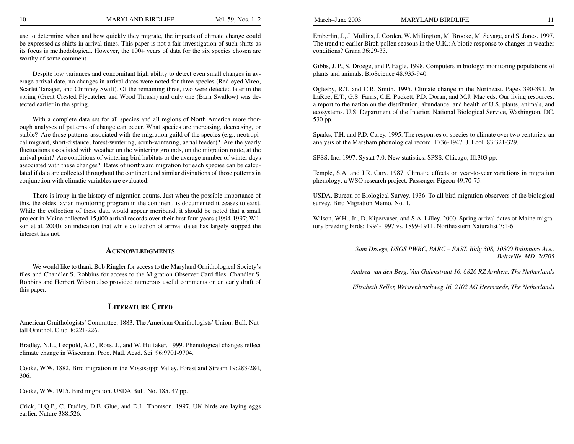use to determine when and how quickly they migrate, the impacts of climate change could be expressed as shifts in arrival times. This paper is not a fair investigation of such shifts as its focus is methodological. However, the 100+ years of data for the six species chosen are worthy of some comment.

Despite low variances and concomitant high ability to detect even small changes in average arrival date, no changes in arrival dates were noted for three species (Red-eyed Vireo, Scarlet Tanager, and Chimney Swift). Of the remaining three, two were detected later in the spring (Great Crested Flycatcher and Wood Thrush) and only one (Barn Swallow) was detected earlier in the spring.

With a complete data set for all species and all regions of North America more thorough analyses of patterns of change can occur. What species are increasing, decreasing, or stable? Are those patterns associated with the migration guild of the species (e.g., neotropical migrant, short-distance, forest-wintering, scrub-wintering, aerial feeder)? Are the yearly fluctuations associated with weather on the wintering grounds, on the migration route, at the arrival point? Are conditions of wintering bird habitats or the average number of winter days associated with these changes? Rates of northward migration for each species can be calculated if data are collected throughout the continent and similar divinations of those patterns in conjunction with climatic variables are evaluated.

There is irony in the history of migration counts. Just when the possible importance of this, the oldest avian monitoring program in the continent, is documented it ceases to exist. While the collection of these data would appear moribund, it should be noted that a small project in Maine collected 15,000 arrival records over their first four years (1994-1997; Wilson et al. 2000), an indication that while collection of arrival dates has largely stopped the interest has not.

### **Acknowledgments**

We would like to thank Bob Ringler for access to the Maryland Ornithological Society's files and Chandler S. Robbins for access to the Migration Observer Card files. Chandler S. Robbins and Herbert Wilson also provided numerous useful comments on an early draft of this paper.

## **Literature Cited**

American Ornithologists' Committee. 1883. The American Ornithologists' Union. Bull. Nuttall Ornithol. Club. 8:221-226.

Bradley, N.L., Leopold, A.C., Ross, J., and W. Huffaker. 1999. Phenological changes reflect climate change in Wisconsin. Proc. Natl. Acad. Sci. 96:9701-9704.

Cooke, W.W. 1882. Bird migration in the Mississippi Valley. Forest and Stream 19:283-284, 306.

Cooke, W.W. 1915. Bird migration. USDA Bull. No. 185. 47 pp.

Crick, H.Q.P., C. Dudley, D.E. Glue, and D.L. Thomson. 1997. UK birds are laying eggs earlier. Nature 388:526.

Emberlin, J., J. Mullins, J. Corden, W. Millington, M. Brooke, M. Savage, and S. Jones. 1997. The trend to earlier Birch pollen seasons in the U.K.: A biotic response to changes in weather conditions? Grana 36:29-33.

Gibbs, J. P., S. Droege, and P. Eagle. 1998. Computers in biology: monitoring populations of plants and animals. BioScience 48:935-940.

Oglesby, R.T. and C.R. Smith. 1995. Climate change in the Northeast. Pages 390-391. *In* LaRoe, E.T., G.S. Farris, C.E. Puckett, P.D. Doran, and M.J. Mac eds. Our living resources: a report to the nation on the distribution, abundance, and health of U.S. plants, animals, and ecosystems. U.S. Department of the Interior, National Biological Service, Washington, DC. 530 pp.

Sparks, T.H. and P.D. Carey. 1995. The responses of species to climate over two centuries: an analysis of the Marsham phonological record, 1736-1947. J. Ecol. 83:321-329.

SPSS, Inc. 1997. Systat 7.0: New statistics. SPSS. Chicago, Ill.303 pp.

Temple, S.A. and J.R. Cary. 1987. Climatic effects on year-to-year variations in migration phenology: a WSO research project. Passenger Pigeon 49:70-75.

USDA, Bureau of Biological Survey. 1936. To all bird migration observers of the biological survey. Bird Migration Memo. No. 1.

Wilson, W.H., Jr., D. Kipervaser, and S.A. Lilley. 2000. Spring arrival dates of Maine migratory breeding birds: 1994-1997 vs. 1899-1911. Northeastern Naturalist 7:1-6.

> *Sam Droege, USGS PWRC, BARC – EAST. Bldg 308, 10300 Baltimore Ave., Beltsville, MD 20705*

*Andrea van den Berg, Van Galenstraat 16, 6826 RZ Arnhem, The Netherlands*

*Elizabeth Keller, Weissenbruchweg 16, 2102 AG Heemstede, The Netherlands*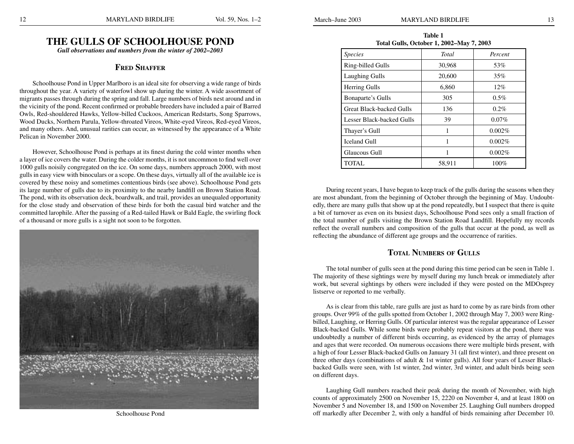## **The Gulls of Schoolhouse Pond**

*Gull observations and numbers from the winter of 2002–2003*

### **Fred Shaffer**

Schoolhouse Pond in Upper Marlboro is an ideal site for observing a wide range of birds throughout the year. A variety of waterfowl show up during the winter. A wide assortment of migrants passes through during the spring and fall. Large numbers of birds nest around and in the vicinity of the pond. Recent confirmed or probable breeders have included a pair of Barred Owls, Red-shouldered Hawks, Yellow-billed Cuckoos, American Redstarts, Song Sparrows, Wood Ducks, Northern Parula, Yellow-throated Vireos, White-eyed Vireos, Red-eyed Vireos, and many others. And, unusual rarities can occur, as witnessed by the appearance of a White Pelican in November 2000.

However, Schoolhouse Pond is perhaps at its finest during the cold winter months when a layer of ice covers the water. During the colder months, it is not uncommon to find well over 1000 gulls noisily congregated on the ice. On some days, numbers approach 2000, with most gulls in easy view with binoculars or a scope. On these days, virtually all of the available ice is covered by these noisy and sometimes contentious birds (see above). Schoolhouse Pond gets its large number of gulls due to its proximity to the nearby landfill on Brown Station Road. The pond, with its observation deck, boardwalk, and trail, provides an unequaled opportunity for the close study and observation of these birds for both the casual bird watcher and the committed larophile. After the passing of a Red-tailed Hawk or Bald Eagle, the swirling flock of a thousand or more gulls is a sight not soon to be forgotten.



Schoolhouse Pond

**Table 1 Total Gulls, October 1, 2002–May 7, 2003**

| <b>Species</b>                  | <b>Total</b> | Percent  |
|---------------------------------|--------------|----------|
| Ring-billed Gulls               | 30,968       | 53%      |
| <b>Laughing Gulls</b>           | 20,600       | 35%      |
| <b>Herring Gulls</b>            | 6,860        | 12%      |
| Bonaparte's Gulls               | 305          | $0.5\%$  |
| <b>Great Black-backed Gulls</b> | 136          | $0.2\%$  |
| Lesser Black-backed Gulls       | 39           | $0.07\%$ |
| Thayer's Gull                   | 1            | 0.002%   |
| <b>Iceland Gull</b>             | 1            | 0.002%   |
| Glaucous Gull                   |              | 0.002%   |
| TOTAL                           | 58,911       | 100%     |

During recent years, I have begun to keep track of the gulls during the seasons when they are most abundant, from the beginning of October through the beginning of May. Undoubtedly, there are many gulls that show up at the pond repeatedly, but I suspect that there is quite a bit of turnover as even on its busiest days, Schoolhouse Pond sees only a small fraction of the total number of gulls visiting the Brown Station Road Landfill. Hopefully my records reflect the overall numbers and composition of the gulls that occur at the pond, as well as reflecting the abundance of different age groups and the occurrence of rarities.

## **Total Numbers of Gulls**

The total number of gulls seen at the pond during this time period can be seen in Table 1. The majority of these sightings were by myself during my lunch break or immediately after work, but several sightings by others were included if they were posted on the MDOsprey listserve or reported to me verbally.

As is clear from this table, rare gulls are just as hard to come by as rare birds from other groups. Over 99% of the gulls spotted from October 1, 2002 through May 7, 2003 were Ringbilled, Laughing, or Herring Gulls. Of particular interest was the regular appearance of Lesser Black-backed Gulls. While some birds were probably repeat visitors at the pond, there was undoubtedly a number of different birds occurring, as evidenced by the array of plumages and ages that were recorded. On numerous occasions there were multiple birds present, with a high of four Lesser Black-backed Gulls on January 31 (all first winter), and three present on three other days (combinations of adult & 1st winter gulls). All four years of Lesser Blackbacked Gulls were seen, with 1st winter, 2nd winter, 3rd winter, and adult birds being seen on different days.

Laughing Gull numbers reached their peak during the month of November, with high counts of approximately 2500 on November 15, 2220 on November 4, and at least 1800 on November 5 and November 18, and 1500 on November 25. Laughing Gull numbers dropped off markedly after December 2, with only a handful of birds remaining after December 10.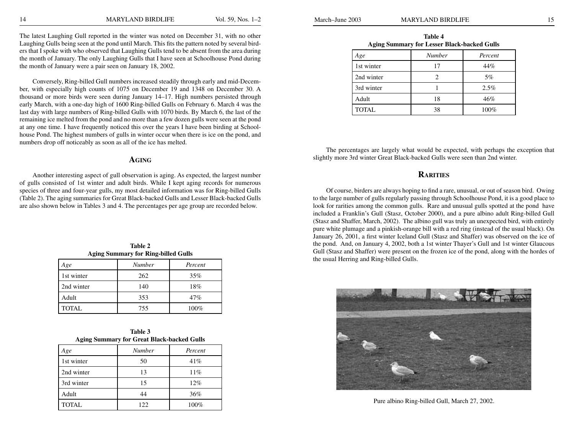The latest Laughing Gull reported in the winter was noted on December 31, with no other Laughing Gulls being seen at the pond until March. This fits the pattern noted by several birders that I spoke with who observed that Laughing Gulls tend to be absent from the area during the month of January. The only Laughing Gulls that I have seen at Schoolhouse Pond during the month of January were a pair seen on January 18, 2002.

Conversely, Ring-billed Gull numbers increased steadily through early and mid-December, with especially high counts of 1075 on December 19 and 1348 on December 30. A thousand or more birds were seen during January 14–17. High numbers persisted through early March, with a one-day high of 1600 Ring-billed Gulls on February 6. March 4 was the last day with large numbers of Ring-billed Gulls with 1070 birds. By March 6, the last of the remaining ice melted from the pond and no more than a few dozen gulls were seen at the pond at any one time. I have frequently noticed this over the years I have been birding at Schoolhouse Pond. The highest numbers of gulls in winter occur when there is ice on the pond, and numbers drop off noticeably as soon as all of the ice has melted.

#### **Aging**

Another interesting aspect of gull observation is aging. As expected, the largest number of gulls consisted of 1st winter and adult birds. While I kept aging records for numerous species of three and four-year gulls, my most detailed information was for Ring-billed Gulls (Table 2). The aging summaries for Great Black-backed Gulls and Lesser Black-backed Gulls are also shown below in Tables 3 and 4. The percentages per age group are recorded below.

| Table 2                                    |
|--------------------------------------------|
| <b>Aging Summary for Ring-billed Gulls</b> |

| Age          | <b>Number</b> | Percent |
|--------------|---------------|---------|
| 1st winter   | 262           | 35%     |
| 2nd winter   | 140           | 18%     |
| Adult        | 353           | 47%     |
| <b>TOTAL</b> | 755           | 100%    |

| Table 3                                           |  |
|---------------------------------------------------|--|
| <b>Aging Summary for Great Black-backed Gulls</b> |  |

| Age          | <b>Number</b> | Percent |
|--------------|---------------|---------|
| 1st winter   | 50            | 41%     |
| 2nd winter   | 13            | 11%     |
| 3rd winter   | 15            | 12%     |
| Adult        | 44            | 36%     |
| <b>TOTAL</b> | 122.          | 100%    |

| Age          | <b>Number</b> | Percent |
|--------------|---------------|---------|
| 1st winter   | 17            | 44%     |
| 2nd winter   |               | 5%      |
| 3rd winter   |               | 2.5%    |
| Adult        | 18            | 46%     |
| <b>TOTAL</b> | 38            | 100%    |

The percentages are largely what would be expected, with perhaps the exception that slightly more 3rd winter Great Black-backed Gulls were seen than 2nd winter.

## **Rarities**

Of course, birders are always hoping to find a rare, unusual, or out of season bird. Owing to the large number of gulls regularly passing through Schoolhouse Pond, it is a good place to look for rarities among the common gulls. Rare and unusual gulls spotted at the pond have included a Franklin's Gull (Stasz, October 2000), and a pure albino adult Ring-billed Gull (Stasz and Shaffer, March, 2002). The albino gull was truly an unexpected bird, with entirely pure white plumage and a pinkish-orange bill with a red ring (instead of the usual black). On January 26, 2001, a first winter Iceland Gull (Stasz and Shaffer) was observed on the ice of the pond. And, on January 4, 2002, both a 1st winter Thayer's Gull and 1st winter Glaucous Gull (Stasz and Shaffer) were present on the frozen ice of the pond, along with the hordes of the usual Herring and Ring-billed Gulls.



Pure albino Ring-billed Gull, March 27, 2002.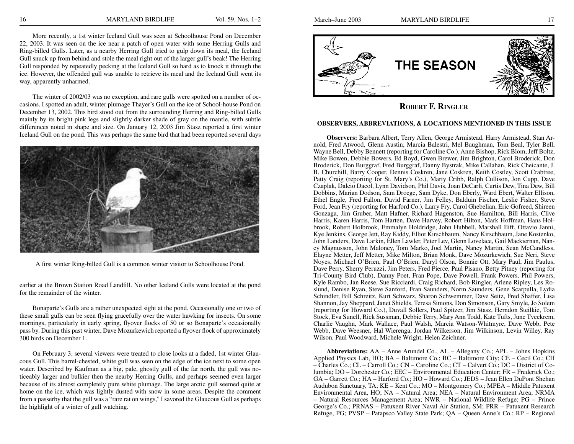More recently, a 1st winter Iceland Gull was seen at Schoolhouse Pond on December 22, 2003. It was seen on the ice near a patch of open water with some Herring Gulls and Ring-billed Gulls. Later, as a nearby Herring Gull tried to gulp down its meal, the Iceland Gull snuck up from behind and stole the meal right out of the larger gull's beak! The Herring Gull responded by repeatedly pecking at the Iceland Gull so hard as to knock it through the ice. However, the offended gull was unable to retrieve its meal and the Iceland Gull went its way, apparently unharmed.

The winter of 2002/03 was no exception, and rare gulls were spotted on a number of occasions. I spotted an adult, winter plumage Thayer's Gull on the ice of School-house Pond on December 13, 2002. This bird stood out from the surrounding Herring and Ring-billed Gulls mainly by its bright pink legs and slightly darker shade of gray on the mantle, with subtle differences noted in shape and size. On January 12, 2003 Jim Stasz reported a first winter Iceland Gull on the pond. This was perhaps the same bird that had been reported several days



A first winter Ring-billed Gull is a common winter visitor to Schoolhouse Pond.

earlier at the Brown Station Road Landfill. No other Iceland Gulls were located at the pond for the remainder of the winter.

Bonaparte's Gulls are a rather unexpected sight at the pond. Occasionally one or two of these small gulls can be seen flying gracefully over the water hawking for insects. On some mornings, particularly in early spring, flyover flocks of 50 or so Bonaparte's occasionally pass by. During this past winter, Dave Mozurkewich reported a flyover flock of approximately 300 birds on December 1.

On February 3, several viewers were treated to close looks at a faded, 1st winter Glaucous Gull. This barrel-chested, white gull was seen on the edge of the ice next to some open water. Described by Kaufman as a big, pale, ghostly gull of the far north, the gull was noticeably larger and bulkier then the nearby Herring Gulls, and perhaps seemed even larger because of its almost completely pure white plumage. The large arctic gull seemed quite at home on the ice, which was lightly dusted with snow in some areas. Despite the comment from a passerby that the gull was a "rare rat on wings," I savored the Glaucous Gull as perhaps the highlight of a winter of gull watching.



**Robert F. Ringler**

#### **OBSERVERS, ABBREVIATIONS, & LOCATIONS MENTIONED IN THIS ISSUE**

**Observers:** Barbara Albert, Terry Allen, George Armistead, Harry Armistead, Stan Arnold, Fred Atwood, Glenn Austin, Marcia Balestri, Mel Baughman, Tom Beal, Tyler Bell, Wayne Bell, Debby Bennett (reporting for Caroline Co.), Anne Bishop, Rick Blom, Jeff Boltz, Mike Bowen, Debbie Bowers, Ed Boyd, Gwen Brewer, Jim Brighton, Carol Broderick, Don Broderick, Don Burggraf, Fred Burggraf, Danny Bystrak, Mike Callahan, Rick Cheicante, J. B. Churchill, Barry Cooper, Dennis Coskren, Jane Coskren, Keith Costley, Scott Crabtree, Patty Craig (reporting for St. Mary's Co.), Marty Cribb, Ralph Cullison, Jon Cupp, Dave Czaplak, Dalcio Dacol, Lynn Davidson, Phil Davis, Joan DeCarli, Curtis Dew, Tina Dew, Bill Dobbins, Marian Dodson, Sam Droege, Sam Dyke, Don Eberly, Ward Ebert, Walter Ellison, Ethel Engle, Fred Fallon, David Farner, Jim Felley, Balduin Fischer, Leslie Fisher, Steve Ford, Jean Fry (reporting for Harford Co.), Larry Fry, Carol Ghebelian, Eric Gofreed, Shireen Gonzaga, Jim Gruber, Matt Hafner, Richard Hagenston, Sue Hamilton, Bill Harris, Clive Harris, Karen Harris, Tom Harten, Dave Harvey, Robert Hilton, Mark Hoffman, Hans Holbrook, Robert Holbrook, Emmalyn Holdridge, John Hubbell, Marshall Iliff, Ottavio Janni, Kye Jenkins, George Jett, Ray Kiddy, Elliot Kirschbaum, Nancy Kirschbaum, Jane Kostenko, John Landers, Dave Larkin, Ellen Lawler, Peter Lev, Glenn Lovelace, Gail Mackiernan, Nancy Magnusson, John Maloney, Tom Marko, Joel Martin, Nancy Martin, Sean McCandless, Elayne Metter, Jeff Metter, Mike Milton, Brian Monk, Dave Mozurkewich, Sue Neri, Steve Noyes, Michael O'Brien, Paul O'Brien, Daryl Olson, Bonnie Ott, Mary Paul, Jim Paulus, Dave Perry, Sherry Peruzzi, Jim Peters, Fred Pierce, Paul Pisano, Betty Pitney (reporting for Tri-County Bird Club), Danny Poet, Fran Pope, Dave Powell, Frank Powers, Phil Powers, Kyle Rambo, Jan Reese, Sue Ricciardi, Craig Richard, Bob Ringler, Arlene Ripley, Les Roslund, Denise Ryan, Steve Sanford, Fran Saunders, Norm Saunders, Gene Scarpulla, Lydia Schindler, Bill Schreitz, Kurt Schwarz, Sharon Schwemmer, Dave Seitz, Fred Shaffer, Lisa Shannon, Jay Sheppard, Janet Shields, Teresa Simons, Don Simonson, Gary Smyle, Jo Solem (reporting for Howard Co.), Duvall Sollers, Paul Spitzer, Jim Stasz, Herndon Steilkie, Tom Stock, Eva Sunell, Rick Sussman, Debbie Terry, Mary Ann Todd, Kate Tufts, June Tveekrem, Charlie Vaughn, Mark Wallace, Paul Walsh, Marcia Watson-Whitmyre, Dave Webb, Pete Webb, Dave Weesner, Hal Wierenga, Jordan Wilkerson, Jim Wilkinson, Levin Willey, Ray Wilson, Paul Woodward, Michele Wright, Helen Zeichner.

**Abbreviations:** AA – Anne Arundel Co., AL – Allegany Co.; APL – Johns Hopkins Applied Physics Lab, HO; BA – Baltimore Co.; BC – Baltimore City; CE – Cecil Co.; CH – Charles Co.; CL – Carroll Co.; CN – Caroline Co.; CT – Calvert Co.; DC – District of Columbia; DO – Dorchester Co.; EEC – Environmental Education Center; FR – Frederick Co.; GA – Garrett Co.; HA – Harford Co.; HO – Howard Co.; JEDS – Jean Ellen DuPont Shehan Audubon Sanctuary, TA; KE – Kent Co.; MO – Montgomery Co.; MPEA – Middle Patuxent Environmental Area, HO; NA – Natural Area; NEA – Natural Environment Area; NRMA – Natural Resources Management Area; NWR – National Wildlife Refuge; PG – Prince George's Co.; PRNAS – Patuxent River Naval Air Station, SM; PRR – Patuxent Research Refuge, PG; PVSP – Patapsco Valley State Park; QA – Queen Anne's Co.; RP – Regional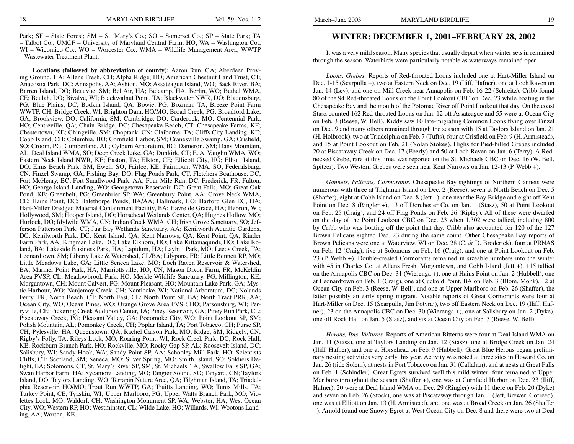Park; SF – State Forest; SM – St. Mary's Co.; SO – Somerset Co.; SP – State Park; TA – Talbot Co.; UMCF – University of Maryland Central Farm, HO; WA – Washington Co.; WI – Wicomico Co.; WO – Worcester Co.; WMA – Wildlife Management Area; WWTP – Wastewater Treatment Plant.

**Locations (followed by abbreviation of county):** Aaron Run, GA; Aberdeen Proving Ground, HA; Allens Fresh, CH; Alpha Ridge, HO; American Chestnut Land Trust, CT; Anacostia Park, DC; Annapolis, AA; Ashton, MO; Assateague Island, WO; Back River, BA; Barren Island, DO; Beauvue, SM; Bel Air, HA; Belcamp, HA; Berlin, WO; Bethel WMA, CE; Beulah, DO; Bivalve, WI; Blackwalnut Point, TA; Blackwater NWR, DO; Bladensburg, PG; Blue Plains, DC; Bodkin Island, QA; Bowie, PG; Bozman, TA; Breeze Point Farm WWTP, CH; Bridge Creek, WI; Brighton Dam, HO/MO; Broad Creek, PG; Broadford Lake, GA; Brookview, DO; California, SM; Cambridge, DO; Carderock, MO; Centennial Park, HO; Centreville, QA; Chain Bridge, DC; Chesapeake Beach, CT; Chesapeake Farms, KE; Chestertown, KE; Chingville, SM; Choptank, CN; Claiborne, TA; Cliffs City Landing, KE; Cobb Island, CH; Columbia, HO; Cornfield Harbor, SM; Cranesville Swamp, GA; Crisfield, SO; Croom, PG; Cumberland, AL; Cylburn Arboretum, BC; Dameron, SM; Dans Mountain, AL; Deal Island WMA, SO; Deep Creek Lake, GA; Dunkirk, CT; E. A. Vaughn WMA, WO; Eastern Neck Island NWR, KE; Easton, TA; Elkton, CE; Ellicott City, HO; Elliott Island, DO; Elms Beach Park, SM; Ewell, SO; Fairlee, KE; Fairmount WMA, SO; Federalsburg, CN; Finzel Swamp, GA; Fishing Bay, DO; Flag Ponds Park, CT; Fletchers Boathouse, DC; Fort McHenry, BC; Fort Smallwood Park, AA; Four Mile Run, DC; Frederick, FR; Fulton, HO; George Island Landing, WO; Georgetown Reservoir, DC; Great Falls, MO; Great Oak Pond, KE; Greenbelt, PG; Greenbrier SP, WA; Greenbury Point, AA; Grove Neck WMA, CE; Hains Point, DC; Halethorpe Ponds, BA/AA; Hallmark, HO; Harford Glen EC, HA; Hart-Miller Dredged Material Containment Facility, BA; Havre de Grace, HA; Hebron, WI; Hollywood, SM; Hooper Island, DO; Horsehead Wetlands Center, QA; Hughes Hollow, MO; Hurlock, DO; Idylwild WMA, CN; Indian Creek WMA, CH; Irish Grove Sanctuary, SO; Jefferson Patterson Park, CT; Jug Bay Wetlands Sanctuary, AA; Kenilworth Aquatic Gardens, DC; Kenilworth Park, DC; Kent Island, QA; Kent Narrows, QA; Kent Point, QA; Kinder Farm Park, AA; Kingman Lake, DC; Lake Elkhorn, HO; Lake Kittamaqundi, HO; Lake Roland, BA; Lakeside Business Park, HA; Lapidum, HA; Layhill Park, MO; Leeds Creek, TA; Leonardtown, SM; Liberty Lake & Watershed, CL/BA; Lilypons, FR; Little Bennett RP, MO; Little Meadows Lake, GA; Little Seneca Lake, MO; Loch Raven Reservoir & Watershed, BA; Mariner Point Park, HA; Marriottsville, HO; CN; Mason Dixon Farm, FR; McKeldin Area PVSP, CL; Meadowbrook Park, HO; Merkle Wildlife Sanctuary, PG; Millington, KE; Morgantown, CH; Mount Calvert, PG; Mount Pleasant, HO; Mountain Lake Park, GA; Mystic Harbour, WO; Nanjemoy Creek, CH; Nanticoke, WI; National Arboretum, DC; Nolands Ferry, FR; North Beach, CT; North East, CE; North Point SP, BA; North Tract PRR, AA; Ocean City, WO; Ocean Pines, WO; Orange Grove Area PVSP, HO; Parsonsburg, WI; Perryville, CE; Pickering Creek Audubon Center, TA; Piney Reservoir, GA; Piney Run Park, CL; Piscataway Creek, PG; Pleasant Valley, GA; Pocomoke City, WO; Point Lookout SP, SM; Polish Mountain, AL; Pomonkey Creek, CH; Poplar Island, TA; Port Tobacco, CH; Purse SP, CH; Pylesville, HA; Queenstown, QA; Rachel Carson Park, MO; Ridge, SM; Ridgely, CN; Rigby's Folly, TA; Rileys Lock, MO; Roaring Point, WI; Rock Creek Park, DC; Rock Hall, KE; Rockburn Branch Park, HO; Rockville, MO; Rocky Gap SP, AL; Roosevelt Island, DC; Salisbury, WI; Sandy Hook, WA; Sandy Point SP, AA; Schooley Mill Park, HO; Scientists Cliffs, CT; Scotland, SM; Seneca, MO; Silver Spring, MO; Smith Island, SO; Soldiers Delight, BA; Solomons, CT; St. Mary's River SP, SM; St. Michaels, TA; Swallow Falls SP, GA; Swan Harbor Farm, HA; Sycamore Landing, MO; Tangier Sound, SO; Tanyard, CN; Taylors Island, DO; Taylors Landing, WO; Terrapin Nature Area, QA; Tilghman Island, TA; Triadelphia Reservoir, HO/MO; Trout Run WWTP, GA; Truitts Landing, WO; Tunis Mills, TA; Turkey Point, CE; Tyaskin, WI; Upper Marlboro, PG; Upper Watts Branch Park, MO; Violettes Lock, MO; Waldorf, CH; Washington Monument SP, WA; Webster, HA; West Ocean City, WO; Western RP, HO; Westminster, CL; Wilde Lake, HO; Willards, WI; Wootons Landing, AA; Worton, KE.

## **WINTER: DECEMBER 1, 2001–FEBRUARY 28, 2002**

It was a very mild season. Many species that usually depart when winter sets in remained through the season. Waterbirds were particularly notable as waterways remained open.

*Loons, Grebes.* Reports of Red-throated Loons included one at Hart-Miller Island on Dec. 1-15 (Scarpulla +), two at Eastern Neck on Dec. 19 (Iliff, Hafner), one at Loch Raven on Jan. 14 (Lev), and one on Mill Creek near Annapolis on Feb. 16-22 (Schreitz). Cribb found 80 of the 94 Red-throated Loons on the Point Lookout CBC on Dec. 23 while boating in the Chesapeake Bay and the mouth of the Potomac River off Point Lookout that day. On the coast Stasz counted 162 Red-throated Loons on Jan. 12 off Assateague and 55 were at Ocean City on Feb. 3 (Reese, W. Bell). Kiddy saw 10 late-migrating Common Loons flying over Finzel on Dec. 9 and many others remained through the season with 15 at Taylors Island on Jan. 21 (H. Holbrook), two at Triadelphia on Feb. 7 (Tufts), four at Crisfield on Feb. 9 (H. Armistead), and 15 at Point Lookout on Feb. 21 (Nolan Stokes). Highs for Pied-billed Grebes included 20 at Piscataway Creek on Dec. 17 (Eberly) and 50 at Loch Raven on Jan. 6 (Terry). A Rednecked Grebe, rare at this time, was reported on the St. Michaels CBC on Dec. 16 (W. Bell, Spitzer). Two Western Grebes were seen near Kent Narrows on Jan. 12-13 (P. Webb +).

*Gannets, Pelicans, Cormorants.* Chesapeake Bay sightings of Northern Gannets were numerous with three at Tilghman Island on Dec. 2 (Reese), seven at North Beach on Dec. 5 (Shaffer), eight at Cobb Island on Dec. 8 (Jett +), one near the Bay Bridge and eight off Kent Point on Dec. 8 (Ringler +), 13 off Dorchester Co. on Jan. 1 (Stasz), 50 at Point Lookout on Feb. 25 (Craig), and 24 off Flag Ponds on Feb. 26 (Ripley). All of these were dwarfed on the day of the Point Lookout CBC on Dec. 23 when 1,302 were tallied, including 800 by Cribb who was boating off the point that day. Cribb also accounted for 120 of the 127 Brown Pelicans sighted Dec. 23 during the same count. Other Chesapeake Bay reports of Brown Pelicans were one at Waterview, WI on Dec. 28 (C. & D. Broderick), four at PRNAS on Feb. 12 (Craig), five at Solomons on Feb. 16 (Craig), and one at Point Lookout on Feb. 23 (P. Webb +). Double-crested Cormorants remained in sizeable numbers into the winter with 45 in Charles Co. at Allens Fresh, Morgantown, and Cobb Island (Jett +), 115 tallied on the Annapolis CBC on Dec. 31 (Wierenga +), one at Hains Point on Jan. 2 (Hubbell), one at Leonardtown on Feb. 1 (Craig), one at Cuckold Point, BA on Feb. 3 (Blom, Monk), 12 at Ocean City on Feb. 3 (Reese, W. Bell), and one at Upper Marlboro on Feb. 26 (Shaffer), the latter possibly an early spring migrant. Notable reports of Great Cormorants were four at Hart-Miller on Dec. 15 (Scarpulla, Jim Potyraj), two off Eastern Neck on Dec. 19 (Iliff, Hafner), 23 on the Annapolis CBC on Dec. 30 (Wierenga +), one at Salisbury on Jan. 2 (Dyke), one off Rock Hall on Jan. 5 (Stasz), and six at Ocean City on Feb. 3 (Reese, W. Bell).

*Herons, Ibis, Vultures.* Reports of American Bitterns were four at Deal Island WMA on Jan. 11 (Stasz), one at Taylors Landing on Jan. 12 (Stasz), one at Bridge Creek on Jan. 24 (Iliff, Hafner), and one at Horsehead on Feb. 9 (Hubbell). Great Blue Herons began preliminary nesting activities very early this year. Activity was noted at three sites in Howard Co. on Jan. 26 (fide Solem), at nests in Port Tobacco on Jan. 31 (Callahan), and at nests at Great Falls on Feb. 1 (Schindler). Great Egrets survived well this mild winter: four remained at Upper Marlboro throughout the season (Shaffer +), one was at Cornfield Harbor on Dec. 23 (Iliff, Hafner), 20 were at Deal Island WMA on Dec. 29 (Ringler) with 11 there on Feb. 20 (Dyke) and seven on Feb. 26 (Stock), one was at Piscataway through Jan. 1 (Jett, Brewer, Gofreed), one was at Elliott on Jan. 13 (H. Armistead), and one was at Broad Creek on Jan. 26 (Shaffer +). Arnold found one Snowy Egret at West Ocean City on Dec. 8 and there were two at Deal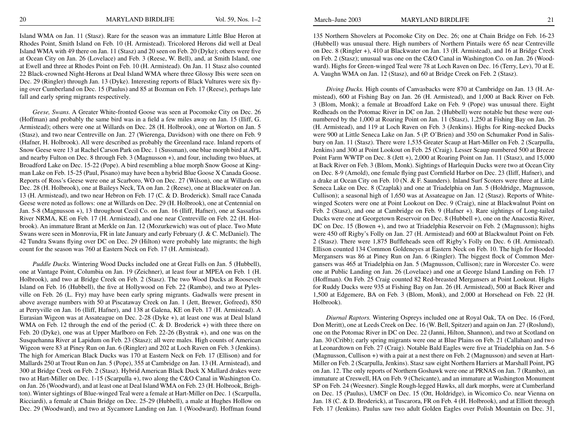Island WMA on Jan. 11 (Stasz). Rare for the season was an immature Little Blue Heron at Rhodes Point, Smith Island on Feb. 10 (H. Armistead). Tricolored Herons did well at Deal Island WMA with 49 there on Jan. 11 (Stasz) and 20 seen on Feb. 20 (Dyke); others were five at Ocean City on Jan. 26 (Lovelace) and Feb. 3 (Reese, W. Bell), and, at Smith Island, one at Ewell and three at Rhodes Point on Feb. 10 (H. Armistead). On Jan. 11 Stasz also counted 22 Black-crowned Night-Herons at Deal Island WMA where three Glossy Ibis were seen on Dec. 29 (Ringler) through Jan. 13 (Dyke). Interesting reports of Black Vultures were six flying over Cumberland on Dec. 15 (Paulus) and 85 at Bozman on Feb. 17 (Reese), perhaps late fall and early spring migrants respectively.

*Geese, Swans.* A Greater White-fronted Goose was seen at Pocomoke City on Dec. 26 (Hoffman) and probably the same bird was in a field a few miles away on Jan. 15 (Iliff, G. Armistead); others were one at Willards on Dec. 28 (H. Holbrook), one at Worton on Jan. 5 (Stasz), and two near Centreville on Jan. 27 (Wierenga, Davidson) with one there on Feb. 9 (Hafner, H. Holbrook). All were described as probably the Greenland race. Inland reports of Snow Geese were 13 at Rachel Carson Park on Dec. 1 (Sussman), one blue morph bird at APL and nearby Fulton on Dec. 8 through Feb. 3 (Magnusson +), and four, including two blues, at Broadford Lake on Dec. 15-22 (Pope). A bird resembling a blue morph Snow Goose at Kingman Lake on Feb. 15-25 (Paul, Pisano) may have been a hybrid Blue Goose X Canada Goose. Reports of Ross's Geese were one at Scarboro, WO on Dec. 27 (Wilson), one at Willards on Dec. 28 (H. Holbrook), one at Baileys Neck, TA on Jan. 2 (Reese), one at Blackwater on Jan. 13 (H. Armistead), and two near Hebron on Feb. 17 (C. & D. Broderick). Small race Canada Geese were noted as follows: one at Willards on Dec. 29 (H. Holbrook), one at Centennial on Jan. 5-8 (Magnusson +), 13 throughout Cecil Co. on Jan. 16 (Iliff, Hafner), one at Sassafras River NRMA, KE on Feb. 17 (H. Armistead), and one near Centreville on Feb. 22 (H. Holbrook). An immature Brant at Merkle on Jan. 12 (Mozurkewich) was out of place. Two Mute Swans were seen in Monrovia, FR in late January and early February (J. & C. McDaniel). The 42 Tundra Swans flying over DC on Dec. 29 (Hilton) were probably late migrants; the high count for the season was 760 at Eastern Neck on Feb. 17 (H. Armistead).

*Puddle Ducks.* Wintering Wood Ducks included one at Great Falls on Jan. 5 (Hubbell), one at Vantage Point, Columbia on Jan. 19 (Zeichner), at least four at MPEA on Feb. 1 (H. Holbrook), and two at Bridge Creek on Feb. 2 (Stasz). The two Wood Ducks at Roosevelt Island on Feb. 16 (Hubbell), the five at Hollywood on Feb. 22 (Rambo), and two at Pylesville on Feb. 26 (L. Fry) may have been early spring migrants. Gadwalls were present in above average numbers with 50 at Piscataway Creek on Jan. 1 (Jett, Brewer, Gofreed), 850 at Perryville on Jan. 16 (Iliff, Hafner), and 138 at Galena, KE on Feb. 17 (H. Armistead). A Eurasian Wigeon was at Assateague on Dec. 2-28 (Dyke +), at least one was at Deal Island WMA on Feb. 12 through the end of the period (C. & D. Broderick +) with three there on Feb. 20 (Dyke), one was at Upper Marlboro on Feb. 22-26 (Bystrak +), and one was on the Susquehanna River at Lapidum on Feb. 23 (Stasz); all were males. High counts of American Wigeon were 83 at Piney Run on Jan. 6 (Ringler) and 202 at Loch Raven on Feb. 3 (Jenkins). The high for American Black Ducks was 170 at Eastern Neck on Feb. 17 (Ellison) and for Mallards 250 at Trout Run on Jan. 5 (Pope), 355 at Cambridge on Jan. 13 (H. Armistead), and 300 at Bridge Creek on Feb. 2 (Stasz). Hybrid American Black Duck X Mallard drakes were two at Hart-Miller on Dec. 1-15 (Scarpulla +), two along the C&O Canal in Washington Co. on Jan. 26 (Woodward), and at least one at Deal Island WMA on Feb. 23 (H. Holbrook, Brighton). Winter sightings of Blue-winged Teal were a female at Hart-Miller on Dec. 1 (Scarpulla, Ricciardi), a female at Chain Bridge on Dec. 25-29 (Hubbell), a male at Hughes Hollow on Dec. 29 (Woodward), and two at Sycamore Landing on Jan. 1 (Woodward). Hoffman found

135 Northern Shovelers at Pocomoke City on Dec. 26; one at Chain Bridge on Feb. 16-23 (Hubbell) was unusual there. High numbers of Northern Pintails were 65 near Centreville on Dec. 8 (Ringler +), 410 at Blackwater on Jan. 13 (H. Armistead), and 16 at Bridge Creek on Feb. 2 (Stasz); unusual was one on the C&O Canal in Washington Co. on Jan. 26 (Woodward). Highs for Green-winged Teal were 78 at Loch Raven on Dec. 16 (Terry, Lev), 70 at E. A. Vaughn WMA on Jan. 12 (Stasz), and 60 at Bridge Creek on Feb. 2 (Stasz).

*Diving Ducks.* High counts of Canvasbacks were 870 at Cambridge on Jan. 13 (H. Armistead), 600 at Fishing Bay on Jan. 26 (H. Armistead), and 1,000 at Back River on Feb. 3 (Blom, Monk); a female at Broadford Lake on Feb. 9 (Pope) was unusual there. Eight Redheads on the Potomac River in DC on Jan. 2 (Hubbell) were notable but these were outnumbered by the 1,000 at Roaring Point on Jan. 11 (Stasz), 1,250 at Fishing Bay on Jan. 26 (H. Armistead), and 119 at Loch Raven on Feb. 3 (Jenkins). Highs for Ring-necked Ducks were 900 at Little Seneca Lake on Jan. 5 (P. O'Brien) and 350 on Schumaker Pond in Salisbury on Jan. 11 (Stasz). There were 1,535 Greater Scaup at Hart-Miller on Feb. 2 (Scarpulla, Jenkins) and 300 at Point Lookout on Feb. 25 (Craig). Lesser Scaup numbered 500 at Breeze Point Farm WWTP on Dec. 8 (Jett +), 2,000 at Roaring Point on Jan. 11 (Stasz), and 15,000 at Back River on Feb. 3 (Blom, Monk). Sightings of Harlequin Ducks were two at Ocean City on Dec. 8-9 (Arnold), one female flying past Cornfield Harbor on Dec. 23 (Iliff, Hafner), and a drake at Ocean City on Feb. 10 (N. & F. Saunders). Inland Surf Scoters were three at Little Seneca Lake on Dec. 8 (Czaplak) and one at Triadelphia on Jan. 5 (Holdridge, Magnusson, Cullison); a seasonal high of 1,650 was at Assateague on Jan. 12 (Stasz). Reports of Whitewinged Scoters were one at Point Lookout on Dec. 9 (Craig), nine at Blackwalnut Point on Feb. 2 (Stasz), and one at Cambridge on Feb. 9 (Hafner +). Rare sightings of Long-tailed Ducks were one at Georgetown Reservoir on Dec. 8 (Hubbell +), one on the Anacostia River, DC on Dec. 15 (Bowen +), and two at Triadelphia Reservoir on Feb. 2 (Magnusson); highs were 450 off Rigby's Folly on Jan. 27 (H. Armistead) and 600 at Blackwalnut Point on Feb. 2 (Stasz). There were 1,875 Buffleheads seen off Rigby's Folly on Dec. 6 (H. Armistead). Ellison counted 134 Common Goldeneyes at Eastern Neck on Feb. 10. The high for Hooded Mergansers was 86 at Piney Run on Jan. 6 (Ringler). The biggest flock of Common Mergansers was 465 at Triadelphia on Jan. 5 (Magnusson, Cullison); rare in Worcester Co. were one at Public Landing on Jan. 26 (Lovelace) and one at George Island Landing on Feb. 17 (Hoffman). On Feb. 25 Craig counted 82 Red-breasted Mergansers at Point Lookout. Highs for Ruddy Ducks were 935 at Fishing Bay on Jan. 26 (H. Armistead), 500 at Back River and 1,500 at Edgemere, BA on Feb. 3 (Blom, Monk), and 2,000 at Horsehead on Feb. 22 (H. Holbrook).

*Diurnal Raptors.* Wintering Ospreys included one at Royal Oak, TA on Dec. 16 (Ford, Don Meritt), one at Leeds Creek on Dec. 16 (W. Bell, Spitzer) and again on Jan. 27 (Roslund), one on the Potomac River in DC on Dec. 22 (Janni, Hilton, Shannon), and two at Scotland on Jan. 30 (Cribb); early spring migrants were one at Blue Plains on Feb. 21 (Callahan) and two at Leonardtown on Feb. 27 (Craig). Notable Bald Eagles were five at Triadelphia on Jan. 5-6 (Magnusson, Cullison +) with a pair at a nest there on Feb. 2 (Magnusson) and seven at Hart-Miller on Feb. 2 (Scarpulla, Jenkins). Stasz saw eight Northern Harriers at Marshall Point, PG on Jan. 12. The only reports of Northern Goshawk were one at PRNAS on Jan. 7 (Rambo), an immature at Creswell, HA on Feb. 9 (Cheicante), and an immature at Washington Monument SP on Feb. 24 (Weesner). Single Rough-legged Hawks, all dark morphs, were at Cumberland on Dec. 15 (Paulus), UMCF on Dec. 15 (Ott, Holdridge), in Wicomico Co. near Vienna on Jan. 18 (C. & D. Broderick), at Tuscarora, FR on Feb. 4 (H. Holbrook), and at Elliott through Feb. 17 (Jenkins). Paulus saw two adult Golden Eagles over Polish Mountain on Dec. 31,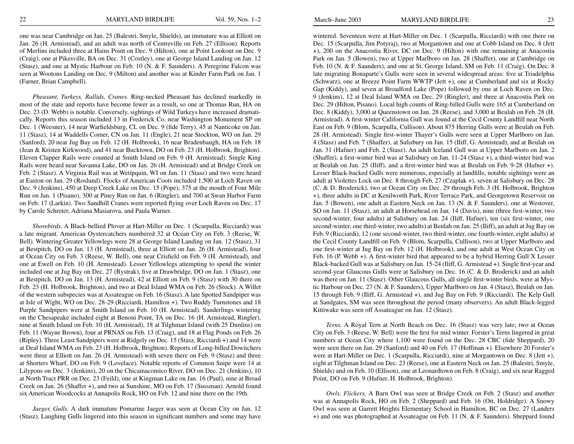one was near Cambridge on Jan. 25 (Balestri, Smyle, Shields), an immature was at Elliott on Jan. 26 (H. Armistead), and an adult was north of Centreville on Feb. 27 (Ellison). Reports of Merlins included three at Hains Point on Dec. 9 (Hilton), one at Point Lookout on Dec. 9 (Craig), one at Pikesville, BA on Dec. 31 (Costley), one at George Island Landing on Jan. 12 (Stasz), and one at Mystic Harbour on Feb. 10 (N. & F. Saunders). A Peregrine Falcon was seen at Wootons Landing on Dec. 9 (Milton) and another was at Kinder Farm Park on Jan. 1 (Farner, Brian Campbell).

*Pheasant, Turkeys, Rallids, Cranes.* Ring-necked Pheasant has declined markedly in most of the state and reports have become fewer as a result, so one at Thomas Run, HA on Dec. 23 (D. Webb) is notable. Conversely, sightings of Wild Turkeys have increased dramatically. Reports this season included 13 in Frederick Co. near Washington Monument SP on Dec. 1 (Weesner), 14 near Warfieldsburg, CL on Dec. 9 (fide Terry), 45 at Nanticoke on Jan. 11 (Stasz), 14 at Waddells Corner, CN on Jan. 11 (Engle), 21 near Stockton, WO on Jan. 29 (Sanford), 20 near Jug Bay on Feb. 12 (H. Holbrook), 16 near Bradenbaugh, HA on Feb. 18 (Jean & Kristen Kirkwood), and 41 near Bucktown, DO on Feb. 23 (H. Holbrook, Brighton). Eleven Clapper Rails were counted at Smith Island on Feb. 9 (H. Armistead). Single King Rails were heard near Savanna Lake, DO on Jan. 26 (H. Armistead) and at Bridge Creek on Feb. 2 (Stasz). A Virginia Rail was at Wetipquin, WI on Jan. 11 (Stasz) and two were heard at Easton on Jan. 29 (Roslund). Flocks of American Coots included 1,500 at Loch Raven on Dec. 9 (Jenkins), 450 at Deep Creek Lake on Dec. 15 (Pope), 375 at the mouth of Four Mile Run on Jan. 1 (Pisano), 300 at Piney Run on Jan. 6 (Ringler), and 700 at Swan Harbor Farm on Feb. 17 (Larkin). Two Sandhill Cranes were reported flying over Loch Raven on Dec. 17 by Carole Schreter, Adriana Masiarova, and Paula Warner.

*Shorebirds.* A Black-bellied Plover at Hart-Miller on Dec. 1 (Scarpulla, Ricciardi) was a late migrant. American Oystercatchers numbered 32 at Ocean City on Feb. 3 (Reese, W. Bell). Wintering Greater Yellowlegs were 28 at George Island Landing on Jan. 12 (Stasz), 31 at Bestpitch, DO on Jan. 13 (H. Armistead), three at Elliott on Jan. 26 (H. Armistead), four at Ocean City on Feb. 3 (Reese, W. Bell), one near Crisfield on Feb. 9 (H. Armistead), and one at Ewell on Feb. 10 (H. Armistead). Lesser Yellowlegs attempting to spend the winter included one at Jug Bay on Dec. 27 (Bystrak), five at Drawbridge, DO on Jan. 1 (Stasz), one at Bestpitch, DO on Jan. 13 (H. Armistead), 42 at Elliott on Feb. 9 (Stasz) with 30 there on Feb. 23 (H. Holbrook, Brighton), and two at Deal Island WMA on Feb. 26 (Stock). A Willet of the western subspecies was at Assateague on Feb. 16 (Stasz). A late Spotted Sandpiper was at Isle of Wight, WO on Dec. 28-29 (Ricciardi, Hamilton +). Two Ruddy Turnstones and 18 Purple Sandpipers were at Smith Island on Feb. 10 (H. Armistead). Sanderlings wintering on the Chesapeake included eight at Benoni Point, TA on Dec. 16 (H. Armistead, Ringler), nine at Smith Island on Feb. 10 (H. Armistead), 18 at Tilghman Island (with 25 Dunlins) on Feb. 11 (Wayne Brown), four at PRNAS on Feb. 13 (Craig), and 18 at Flag Ponds on Feb. 26 (Ripley). Three Least Sandpipers were at Ridgely on Dec. 15 (Stasz, Ricciardi +) and 14 were at Deal Island WMA on Feb. 23 (H. Holbrook, Brighton). Reports of Long-billed Dowitchers were three at Elliott on Jan. 26 (H. Armistead) with seven there on Feb. 9 (Stasz) and three at Shorters Wharf, DO on Feb. 9 (Lovelace). Notable reports of Common Snipe were 14 at Lilypons on Dec. 3 (Jenkins), 20 on the Chicamacomico River, DO on Dec. 21 (Jenkins), 10 at North Tract PRR on Dec. 23 (Feild), one at Kingman Lake on Jan. 16 (Paul), nine at Broad Creek on Jan. 26 (Shaffer +), and two at Sunshine, MO on Feb. 17 (Sussman). Arnold found six American Woodcocks at Annapolis Rock, HO on Feb. 12 and nine there on the 19th.

*Jaeger, Gulls.* A dark immature Pomarine Jaeger was seen at Ocean City on Jan. 12 (Stasz). Laughing Gulls lingered into this season in significant numbers and some may have

wintered. Seventeen were at Hart-Miller on Dec. 1 (Scarpulla, Ricciardi) with one there on Dec. 15 (Scarpulla, Jim Potyraj), two at Morgantown and one at Cobb Island on Dec. 8 (Jett +), 200 on the Anacostia River, DC on Dec. 9 (Hilton) with one remaining at Anacostia Park on Jan. 5 (Bowen), two at Upper Marlboro on Jan. 28 (Shaffer), one at Cambridge on Feb. 10 (N. & F. Saunders), and one at St. George Island, SM on Feb. 11 (Craig). On Dec. 8 late migrating Bonaparte's Gulls were seen in several widespread areas: five at Triadelphia (Schwarz), one at Breeze Point Farm WWTP (Jett +), one at Cumberland and six at Rocky Gap (Kiddy), and seven at Broadford Lake (Pope) followed by one at Loch Raven on Dec. 9 (Jenkins), 12 at Deal Island WMA on Dec. 29 (Ringler), and three at Anacostia Park on Dec. 29 (Hilton, Pisano). Local high counts of Ring-billed Gulls were 165 at Cumberland on Dec. 8 (Kiddy), 3,000 at Queenstown on Jan. 28 (Reese), and 3,000 at Beulah on Feb. 28 (H. Armistead). A first-winter California Gull was found at the Cecil County Landfill near North East on Feb. 9 (Blom, Scarpulla, Cullison). About 875 Herring Gulls were at Beulah on Feb. 28 (H. Armistead). Single first-winter Thayer's Gulls were seen at Upper Marlboro on Jan. 4 (Stasz) and Feb. 7 (Shaffer), at Salisbury on Jan. 15 (Iliff, G. Armistead), and at Beulah on Jan. 31 (Hafner) and Feb. 2 (Stasz). An adult Iceland Gull was at Upper Marlboro on Jan. 2 (Shaffer), a first-winter bird was at Salisbury on Jan. 11-24 (Stasz +), a third-winter bird was at Beulah on Jan. 25 (Iliff), and a first-winter bird was at Beulah on Feb. 9-28 (Hafner +). Lesser Black-backed Gulls were numerous, especially at landfills; notable sightings were an adult at Violettes Lock on Dec. 8 through Feb. 27 (Czaplak +), seven at Salisbury on Dec. 28 (C. & D. Broderick), two at Ocean City on Dec. 29 through Feb. 3 (H. Holbrook, Brighton +), three adults in DC at Kenilworth Park, River Terrace Park, and Georgetown Reservoir on Jan. 5 (Bowen), one adult at Eastern Neck on Jan. 13 (N. & F. Saunders), one at Westover, SO on Jan. 11 (Stasz), an adult at Horsehead on Jan. 14 (Davis), nine (three first-winter, two second-winter, four adults) at Salisbury on Jan. 24 (Iliff, Hafner), ten (six first-winter, one second-winter, one third-winter, two adults) at Beulah on Jan. 25 (Iliff), an adult at Jug Bay on Feb. 9 (Ricciardi), 12 (one second-winter, two third-winter, one fourth-winter, eight adults) at the Cecil County Landfill on Feb. 9 (Blom, Scarpulla, Cullison), two at Upper Marlboro and one first-winter at Jug Bay on Feb. 12 (H. Holbrook), and one adult at West Ocean City on Feb. 16 (P. Webb +). A first-winter bird that appeared to be a hybrid Herring Gull X Lesser Black-backed Gull was at Salisbury on Jan. 15-24 (Iliff, G. Armistead +). Single first-year and second-year Glaucous Gulls were at Salisbury on Dec. 16 (C. & D. Broderick) and an adult was there on Jan. 11 (Stasz). Other Glaucous Gulls, all single first-winter birds, were at Mystic Harbour on Dec. 27 (N. & F. Saunders), Upper Marlboro on Jan. 4 (Stasz), Beulah on Jan. 15 through Feb. 9 (Iliff, G. Armistead +), and Jug Bay on Feb. 9 (Ricciardi). The Kelp Gull at Sandgates, SM was seen throughout the period (many observers). An adult Black-legged Kittiwake was seen off Assateague on Jan. 12 (Stasz).

*Terns.* A Royal Tern at North Beach on Dec. 16 (Stasz) was very late; two at Ocean City on Feb. 3 (Reese, W. Bell) were the first for mid winter. Forster's Terns lingered in great numbers at Ocean City where 1,100 were found on the Dec. 28 CBC (fide Sheppard), 20 were seen there on Jan. 29 (Sanford) and 40 on Feb. 17 (Hoffman +). Elsewhere 20 Forster's were at Hart-Miller on Dec. 1 (Scarpulla, Ricciardi), nine at Morgantown on Dec. 8 (Jett +), eight at Tilghman Island on Dec. 23 (Reese), one at Eastern Neck on Jan. 25 (Balestri, Smyle, Shields) and on Feb. 10 (Ellison), one at Leonardtown on Feb. 8 (Craig), and six near Ragged Point, DO on Feb. 9 (Hafner, H. Holbrook, Brighton).

*Owls, Flickers.* A Barn Owl was seen at Bridge Creek on Feb. 2 (Stasz) and another was at Annapolis Rock, HO on Feb. 2 (Sheppard) and Feb. 16 (Ott, Holdridge). A Snowy Owl was seen at Garrett Heights Elementary School in Hamilton, BC on Dec. 27 (Landers +) and one was photographed at Assateague on Feb. 11 (N. & F. Saunders). Sheppard found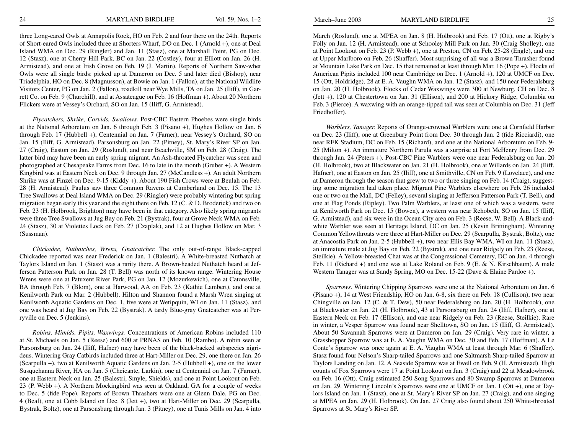three Long-eared Owls at Annapolis Rock, HO on Feb. 2 and four there on the 24th. Reports of Short-eared Owls included three at Shorters Wharf, DO on Dec. 1 (Arnold +), one at Deal Island WMA on Dec. 29 (Ringler) and Jan. 11 (Stasz), one at Marshall Point, PG on Dec. 12 (Stasz), one at Cherry Hill Park, BC on Jan. 22 (Costley), four at Elliott on Jan. 26 (H. Armistead), and one at Irish Grove on Feb. 19 (J. Martin). Reports of Northern Saw-whet Owls were all single birds: picked up at Dameron on Dec. 5 and later died (Bishop), near Triadelphia, HO on Dec. 8 (Magnusson), at Bowie on Jan. 1 (Fallon), at the National Wildlife Visitors Center, PG on Jan. 2 (Fallon), roadkill near Wye Mills, TA on Jan. 25 (Iliff), in Garrett Co. on Feb. 9 (Churchill), and at Assateague on Feb. 16 (Hoffman +). About 20 Northern Flickers were at Vessey's Orchard, SO on Jan. 15 (Iliff, G. Armistead).

*Flycatchers, Shrike, Corvids, Swallows.* Post-CBC Eastern Phoebes were single birds at the National Arboretum on Jan. 6 through Feb. 3 (Pisano +), Hughes Hollow on Jan. 6 through Feb. 17 (Hubbell +), Centennial on Jan. 7 (Farner), near Vessey's Orchard, SO on Jan. 15 (Iliff, G. Armistead), Parsonsburg on Jan. 22 (Pitney), St. Mary's River SP on Jan. 27 (Craig), Easton on Jan. 29 (Roslund), and near Beachville, SM on Feb. 28 (Craig). The latter bird may have been an early spring migrant. An Ash-throated Flycatcher was seen and photographed at Chesapeake Farms from Dec. 16 to late in the month (Gruber +). A Western Kingbird was at Eastern Neck on Dec. 9 through Jan. 27 (McCandless +). An adult Northern Shrike was at Finzel on Dec. 9-15 (Kiddy +). About 190 Fish Crows were at Beulah on Feb. 28 (H. Armistead). Paulus saw three Common Ravens at Cumberland on Dec. 15. The 13 Tree Swallows at Deal Island WMA on Dec. 29 (Ringler) were probably wintering but spring migration began early this year and the eight there on Feb. 12 (C. & D. Broderick) and two on Feb. 23 (H. Holbrook, Brighton) may have been in that category. Also likely spring migrants were three Tree Swallows at Jug Bay on Feb. 21 (Bystrak), four at Grove Neck WMA on Feb. 24 (Stasz), 30 at Violettes Lock on Feb. 27 (Czaplak), and 12 at Hughes Hollow on Mar. 3 (Sussman).

*Chickadee, Nuthatches, Wrens, Gnatcatcher.* The only out-of-range Black-capped Chickadee reported was near Frederick on Jan. 1 (Balestri). A White-breasted Nuthatch at Taylors Island on Jan. 1 (Stasz) was a rarity there. A Brown-headed Nuthatch heard at Jefferson Patterson Park on Jan. 28 (T. Bell) was north of its known range. Wintering House Wrens were one at Patuxent River Park, PG on Jan. 12 (Mozurkewich), one at Catonsville, BA through Feb. 7 (Blom), one at Harwood, AA on Feb. 23 (Kathie Lambert), and one at Kenilworth Park on Mar. 2 (Hubbell). Hilton and Shannon found a Marsh Wren singing at Kenilworth Aquatic Gardens on Dec. 1, five were at Wetipquin, WI on Jan. 11 (Stasz), and one was heard at Jug Bay on Feb. 22 (Bystrak). A tardy Blue-gray Gnatcatcher was at Perryville on Dec. 5 (Jenkins).

*Robins, Mimids, Pipits, Waxwings.* Concentrations of American Robins included 110 at St. Michaels on Jan. 5 (Reese) and 600 at PRNAS on Feb. 10 (Rambo). A robin seen at Parsonsburg on Jan. 24 (Iliff, Hafner) may have been of the black-backed subspecies nigrideus. Wintering Gray Catbirds included three at Hart-Miller on Dec. 29, one there on Jan. 26 (Scarpulla +), two at Kenilworth Aquatic Gardens on Jan. 2-5 (Hubbell +), one on the lower Susquehanna River, HA on Jan. 5 (Cheicante, Larkin), one at Centennial on Jan. 7 (Farner), one at Eastern Neck on Jan. 25 (Balestri, Smyle, Shields), and one at Point Lookout on Feb. 23 (P. Webb +). A Northern Mockingbird was seen at Oakland, GA for a couple of weeks to Dec. 5 (fide Pope). Reports of Brown Thrashers were one at Glenn Dale, PG on Dec. 4 (Beal), one at Cobb Island on Dec. 8 (Jett +), two at Hart-Miller on Dec. 29 (Scarpulla, Bystrak, Boltz), one at Parsonsburg through Jan. 3 (Pitney), one at Tunis Mills on Jan. 4 into March (Roslund), one at MPEA on Jan. 8 (H. Holbrook) and Feb. 17 (Ott), one at Rigby's Folly on Jan. 12 (H. Armistead), one at Schooley Mill Park on Jan. 30 (Craig Sholley), one at Point Lookout on Feb. 23 (P. Webb +), one at Preston, CN on Feb. 25-28 (Engle), and one at Upper Marlboro on Feb. 26 (Shaffer). Most surprising of all was a Brown Thrasher found at Mountain Lake Park on Dec. 15 that remained at least through Mar. 16 (Pope +). Flocks of American Pipits included 100 near Cambridge on Dec. 1 (Arnold +), 120 at UMCF on Dec. 15 (Ott, Holdridge), 28 at E. A. Vaughn WMA on Jan. 12 (Stasz), and 150 near Federalsburg on Jan. 20 (H. Holbrook). Flocks of Cedar Waxwings were 300 at Newburg, CH on Dec. 8 (Jett +), 120 at Chestertown on Jan. 31 (Ellison), and 200 at Hickory Ridge, Columbia on Feb. 3 (Pierce). A waxwing with an orange-tipped tail was seen at Columbia on Dec. 31 (Jeff Friedhoffer).

*Warblers, Tanager.* Reports of Orange-crowned Warblers were one at Cornfield Harbor on Dec. 23 (Iliff), one at Greenbury Point from Dec. 30 through Jan. 2 (fide Ricciardi), one near RFK Stadium, DC on Feb. 15 (Richard), and one at the National Arboretum on Feb. 9- 25 (Milton +). An immature Northern Parula was a surprise at Fort McHenry from Dec. 29 through Jan. 24 (Peters +). Post-CBC Pine Warblers were one near Federalsburg on Jan. 20 (H. Holbrook), two at Blackwater on Jan. 21 (H. Holbrook), one at Willards on Jan. 24 (Iliff, Hafner), one at Easton on Jan. 25 (Iliff), one at Smithville, CN on Feb. 9 (Lovelace), and one at Dameron through the season that grew to two or three singing on Feb. 14 (Craig), suggesting some migration had taken place. Migrant Pine Warblers elsewhere on Feb. 26 included one or two on the Mall, DC (Felley), several singing at Jefferson Patterson Park (T. Bell), and one at Flag Ponds (Ripley). Two Palm Warblers, at least one of which was a western, were at Kenilworth Park on Dec. 15 (Bowen), a western was near Rehobeth, SO on Jan. 15 (Iliff, G. Armistead), and six were in the Ocean City area on Feb. 3 (Reese, W. Bell). A Black-andwhite Warbler was seen at Heritage Island, DC on Jan. 25 (Kevin Brittingham). Wintering Common Yellowthroats were three at Hart-Miller on Dec. 29 (Scarpulla, Bystrak, Boltz), one at Anacostia Park on Jan. 2-5 (Hubbell +), two near Ellis Bay WMA, WI on Jan. 11 (Stasz), an immature male at Jug Bay on Feb. 22 (Bystrak), and one near Ridgely on Feb. 23 (Reese, Steilkie). A Yellow-breasted Chat was at the Congressional Cemetery, DC on Jan. 4 through Feb. 11 (Richard +) and one was at Lake Roland on Feb. 9 (E. & N. Kirschbaum). A male Western Tanager was at Sandy Spring, MO on Dec. 15-22 (Dave & Elaine Pardoe +).

*Sparrows.* Wintering Chipping Sparrows were one at the National Arboretum on Jan. 6 (Pisano +), 14 at West Friendship, HO on Jan. 6-8, six there on Feb. 18 (Cullison), two near Chingville on Jan. 12 (C. & T. Dew), 50 near Federalsburg on Jan. 20 (H. Holbrook), one at Blackwater on Jan. 21 (H. Holbrook), 43 at Parsonsburg on Jan. 24 (Iliff, Hafner), one at Eastern Neck on Feb. 17 (Ellison), and one near Ridgely on Feb. 23 (Reese, Steilkie). Rare in winter, a Vesper Sparrow was found near Shelltown, SO on Jan. 15 (Iliff, G. Armistead). About 50 Savannah Sparrows were at Dameron on Jan. 29 (Craig). Very rare in winter, a Grasshopper Sparrow was at E. A. Vaughn WMA on Dec. 30 and Feb. 17 (Hoffman). A Le Conte's Sparrow was once again at E. A. Vaughn WMA at least through Mar. 6 (Shaffer). Stasz found four Nelson's Sharp-tailed Sparrows and one Saltmarsh Sharp-tailed Sparrow at Taylors Landing on Jan. 12. A Seaside Sparrow was at Ewell on Feb. 9 (H. Armistead). High counts of Fox Sparrows were 17 at Point Lookout on Jan. 3 (Craig) and 22 at Meadowbrook on Feb. 16 (Ott). Craig estimated 250 Song Sparrows and 80 Swamp Sparrows at Dameron on Jan. 29. Wintering Lincoln's Sparrows were one at UMCF on Jan. 1 (Ott +), one at Taylors Island on Jan. 1 (Stasz), one at St. Mary's River SP on Jan. 27 (Craig), and one singing at MPEA on Jan. 29 (H. Holbrook). On Jan. 27 Craig also found about 250 White-throated Sparrows at St. Mary's River SP.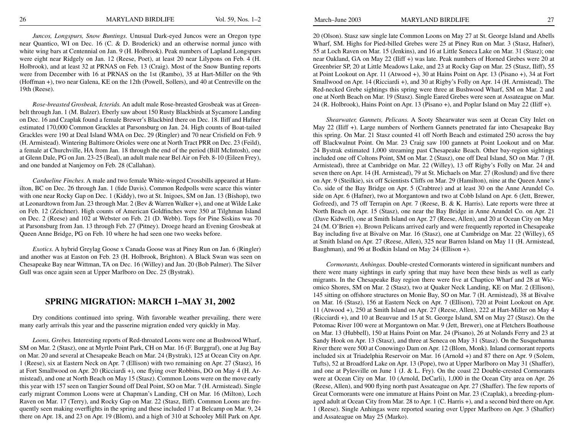*Juncos, Longspurs, Snow Buntings.* Unusual Dark-eyed Juncos were an Oregon type near Quantico, WI on Dec. 16 (C. & D. Broderick) and an otherwise normal junco with white wing bars at Centennial on Jan. 9 (H. Holbrook). Peak numbers of Lapland Longspurs were eight near Ridgely on Jan. 12 (Reese, Poet), at least 20 near Lilypons on Feb. 4 (H. Holbrook), and at least 32 at PRNAS on Feb. 13 (Craig). Most of the Snow Bunting reports were from December with 16 at PRNAS on the 1st (Rambo), 35 at Hart-Miller on the 9th (Hoffman +), two near Galena, KE on the 12th (Powell, Sollers), and 40 at Centreville on the 19th (Reese).

*Rose-breasted Grosbeak, Icterids.* An adult male Rose-breasted Grosbeak was at Greenbelt through Jan. 1 (M. Balzer). Eberly saw about 150 Rusty Blackbirds at Sycamore Landing on Dec. 16 and Czaplak found a female Brewer's Blackbird there on Dec. 18. Iliff and Hafner estimated 170,000 Common Grackles at Parsonsburg on Jan. 24. High counts of Boat-tailed Grackles were 190 at Deal Island WMA on Dec. 29 (Ringler) and 70 near Crisfield on Feb. 9 (H. Armistead). Wintering Baltimore Orioles were one at North Tract PRR on Dec. 23 (Feild), a female at Churchville, HA from Jan. 18 through the end of the period (Bill McIntosh), one at Glenn Dale, PG on Jan. 23-25 (Beal), an adult male near Bel Air on Feb. 8-10 (Eileen Frey), and one banded at Nanjemoy on Feb. 28 (Callahan).

*Cardueline Finches.* A male and two female White-winged Crossbills appeared at Hamilton, BC on Dec. 26 through Jan. 1 (fide Davis). Common Redpolls were scarce this winter with one near Rocky Gap on Dec. 1 (Kiddy), two at St. Inigoes, SM on Jan. 13 (Bishop), two at Leonardtown from Jan. 23 through Mar. 2 (Bev & Warren Walker +), and one at Wilde Lake on Feb. 12 (Zeichner). High counts of American Goldfinches were 350 at Tilghman Island on Dec. 2 (Reese) and 102 at Webster on Feb. 21 (D. Webb). Tops for Pine Siskins was 70 at Parsonsburg from Jan. 13 through Feb. 27 (Pitney). Droege heard an Evening Grosbeak at Queen Anne Bridge, PG on Feb. 10 where he had seen one two weeks before.

*Exotics.* A hybrid Greylag Goose x Canada Goose was at Piney Run on Jan. 6 (Ringler) and another was at Easton on Feb. 23 (H. Holbrook, Brighton). A Black Swan was seen on Chesapeake Bay near Wittman, TA on Dec. 16 (Willey) and Jan. 20 (Bob Palmer). The Silver Gull was once again seen at Upper Marlboro on Dec. 25 (Bystrak).

## **SPRING MIGRATION: MARCH 1–MAY 31, 2002**

Dry conditions continued into spring. With favorable weather prevailing, there were many early arrivals this year and the passerine migration ended very quickly in May.

*Loons, Grebes.* Interesting reports of Red-throated Loons were one at Bushwood Wharf, SM on Mar. 2 (Stasz), one at Myrtle Point Park, CH on Mar. 16 (F. Burggraf), one at Jug Bay on Mar. 20 and several at Chesapeake Beach on Mar. 24 (Bystrak), 125 at Ocean City on Apr. 1 (Reese), six at Eastern Neck on Apr. 7 (Ellison) with two remaining on Apr. 27 (Stasz), 16 at Fort Smallwood on Apr. 20 (Ricciardi +), one flying over Robbins, DO on May 4 (H. Armistead), and one at North Beach on May 15 (Stasz). Common Loons were on the move early this year with 157 seen on Tangier Sound off Deal Point, SO on Mar. 7 (H. Armistead). Single early migrant Common Loons were at Chapman's Landing, CH on Mar. 16 (Milton), Loch Raven on Mar. 17 (Terry), and Rocky Gap on Mar. 22 (Stasz, Iliff). Common Loons are frequently seen making overflights in the spring and these included 17 at Belcamp on Mar. 9, 24 there on Apr. 18, and 23 on Apr. 19 (Blom), and a high of 310 at Schooley Mill Park on Apr.

20 (Olson). Stasz saw single late Common Loons on May 27 at St. George Island and Abells Wharf, SM. Highs for Pied-billed Grebes were 25 at Piney Run on Mar. 3 (Stasz, Hafner), 55 at Loch Raven on Mar. 15 (Jenkins), and 16 at Little Seneca Lake on Mar. 31 (Stasz); one near Oakland, GA on May 22 (Iliff +) was late. Peak numbers of Horned Grebes were 20 at Greenbrier SP, 20 at Little Meadows Lake, and 23 at Rocky Gap on Mar. 25 (Stasz, Iliff), 55 at Point Lookout on Apr. 11 (Atwood +), 30 at Hains Point on Apr. 13 (Pisano +), 34 at Fort Smallwood on Apr. 14 (Ricciardi +), and 30 at Rigby's Folly on Apr. 14 (H. Armistead). The Red-necked Grebe sightings this spring were three at Bushwood Wharf, SM on Mar. 2 and one at North Beach on Mar. 19 (Stasz). Single Eared Grebes were seen at Assateague on Mar. 24 (R. Holbrook), Hains Point on Apr. 13 (Pisano +), and Poplar Island on May 22 (Iliff +).

*Shearwater, Gannets, Pelicans.* A Sooty Shearwater was seen at Ocean City Inlet on May 22 (Iliff +). Large numbers of Northern Gannets penetrated far into Chesapeake Bay this spring. On Mar. 21 Stasz counted 41 off North Beach and estimated 250 across the bay off Blackwalnut Point. On Mar. 23 Craig saw 100 gannets at Point Lookout and on Mar. 24 Bystrak estimated 1,000 streaming past Chesapeake Beach. Other bay-region sightings included one off Coltons Point, SM on Mar. 2 (Stasz), one off Deal Island, SO on Mar. 7 (H. Armistead), three at Cambridge on Mar. 22 (Willey), 13 off Rigby's Folly on Mar. 24 and seven there on Apr. 14 (H. Armistead), 79 at St. Michaels on Mar. 27 (Roslund) and five there on Apr. 9 (Steilkie), six off Scientists Cliffs on Mar. 29 (Hamilton), nine at the Queen Anne's Co. side of the Bay Bridge on Apr. 5 (Crabtree) and at least 30 on the Anne Arundel Co. side on Apr. 6 (Hafner), two at Morgantown and two at Cobb Island on Apr. 6 (Jett, Brewer, Gofreed), and 75 off Terrapin on Apr. 7 (Reese, B. & K. Harris). Late reports were three at North Beach on Apr. 15 (Stasz), one near the Bay Bridge in Anne Arundel Co. on Apr. 21 (Dave Kidwell), one at Smith Island on Apr. 27 (Reese, Allen), and 20 at Ocean City on May 24 (M. O'Brien +). Brown Pelicans arrived early and were frequently reported in Chesapeake Bay including five at Bivalve on Mar. 16 (Stasz), one at Cambridge on Mar. 22 (Willey), 65 at Smith Island on Apr. 27 (Reese, Allen), 325 near Barren Island on May 11 (H. Armistead, Baughman), and 96 at Bodkin Island on May 24 (Ellison +).

*Cormorants, Anhingas.* Double-crested Cormorants wintered in significant numbers and there were many sightings in early spring that may have been these birds as well as early migrants. In the Chesapeake Bay region there were five at Chaptico Wharf and 28 at Wicomico Shores, SM on Mar. 2 (Stasz), two at Quaker Neck Landing, KE on Mar. 2 (Ellison), 145 sitting on offshore structures on Monie Bay, SO on Mar. 7 (H. Armistead), 38 at Bivalve on Mar. 16 (Stasz), 156 at Eastern Neck on Apr. 7 (Ellison), 720 at Point Lookout on Apr. 11 (Atwood +), 250 at Smith Island on Apr. 27 (Reese, Allen), 222 at Hart-Miller on May 4 (Ricciardi +), and 10 at Beauvue and 15 at St. George Island, SM on May 27 (Stasz). On the Potomac River 100 were at Morgantown on Mar. 9 (Jett, Brewer), one at Fletchers Boathouse on Mar. 13 (Hubbell), 150 at Hains Point on Mar. 24 (Pisano), 26 at Nolands Ferry and 23 at Sandy Hook on Apr. 13 (Stasz), and three at Seneca on May 31 (Stasz). On the Susquehanna River there were 500 at Conowingo Dam on Apr. 12 (Blom, Monk). Inland cormorant reports included six at Triadelphia Reservoir on Mar. 16 (Arnold +) and 87 there on Apr. 9 (Solem, Tufts), 52 at Broadford Lake on Apr. 13 (Pope), two at Upper Marlboro on May 31 (Shaffer), and one at Pylesville on June 1 (J. & L. Fry). On the coast 22 Double-crested Cormorants were at Ocean City on Mar. 10 (Arnold, DeCarli), 1,000 in the Ocean City area on Apr. 26 (Reese, Allen), and 900 flying north past Assateague on Apr. 27 (Shaffer). The few reports of Great Cormorants were one immature at Hains Point on Mar. 23 (Czaplak), a breeding-plumaged adult at Ocean City from Mar. 28 to Apr. 1 (C. Harris +), and a second bird there on Apr. 1 (Reese). Single Anhingas were reported soaring over Upper Marlboro on Apr. 3 (Shaffer) and Assateague on May 25 (Marko).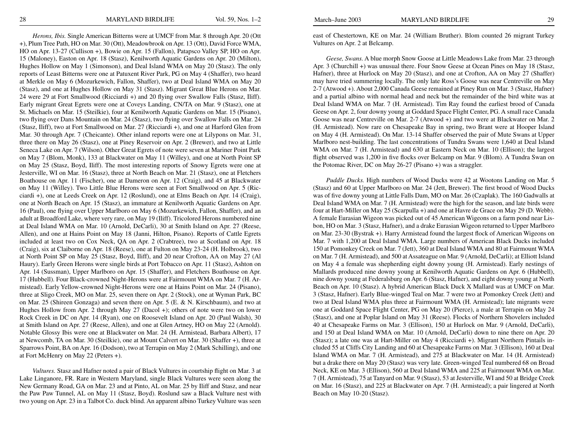*Herons, Ibis.* Single American Bitterns were at UMCF from Mar. 8 through Apr. 20 (Ott +), Plum Tree Path, HO on Mar. 30 (Ott), Meadowbrook on Apr. 13 (Ott), David Force WMA, HO on Apr. 13-27 (Cullison +), Bowie on Apr. 15 (Fallon), Patapsco Valley SP, HO on Apr. 15 (Maloney), Easton on Apr. 18 (Stasz), Kenilworth Aquatic Gardens on Apr. 20 (Milton), Hughes Hollow on May 1 (Simonson), and Deal Island WMA on May 20 (Stasz). The only reports of Least Bitterns were one at Patuxent River Park, PG on May 4 (Shaffer), two heard at Merkle on May 6 (Mozurkewich, Fallon, Shaffer), two at Deal Island WMA on May 20 (Stasz), and one at Hughes Hollow on May 31 (Stasz). Migrant Great Blue Herons on Mar. 24 were 29 at Fort Smallwood (Ricciardi +) and 20 flying over Swallow Falls (Stasz, Iliff). Early migrant Great Egrets were one at Coveys Landing, CN/TA on Mar. 9 (Stasz), one at St. Michaels on Mar. 15 (Steilkie), four at Kenilworth Aquatic Gardens on Mar. 15 (Pisano), two flying over Dans Mountain on Mar. 24 (Stasz), two flying over Swallow Falls on Mar. 24 (Stasz, Iliff), two at Fort Smallwood on Mar. 27 (Ricciardi +), and one at Harford Glen from Mar. 30 through Apr. 7 (Cheicante). Other inland reports were one at Lilypons on Mar. 31, three there on May 26 (Stasz), one at Piney Reservoir on Apr. 2 (Brewer), and two at Little Seneca Lake on Apr. 7 (Wilson). Other Great Egrets of note were seven at Mariner Point Park on May 7 (Blom, Monk), 133 at Blackwater on May 11 (Willey), and one at North Point SP on May 25 (Stasz, Boyd, Iliff). The most interesting reports of Snowy Egrets were one at Jesterville, WI on Mar. 16 (Stasz), three at North Beach on Mar. 21 (Stasz), one at Fletchers Boathouse on Apr. 11 (Fischer), one at Dameron on Apr. 12 (Craig), and 45 at Blackwater on May 11 (Willey). Two Little Blue Herons were seen at Fort Smallwood on Apr. 5 (Ricciardi +), one at Leeds Creek on Apr. 12 (Roslund), one at Elms Beach on Apr. 14 (Craig), one at North Beach on Apr. 15 (Stasz), an immature at Kenilworth Aquatic Gardens on Apr. 16 (Paul), one flying over Upper Marlboro on May 6 (Mozurkewich, Fallon, Shaffer), and an adult at Broadford Lake, where very rare, on May 19 (Iliff). Tricolored Herons numbered nine at Deal Island WMA on Mar. 10 (Arnold, DeCarli), 30 at Smith Island on Apr. 27 (Reese, Allen), and one at Hains Point on May 18 (Janni, Hilton, Pisano). Reports of Cattle Egrets included at least two on Cox Neck, QA on Apr. 2 (Crabtree), two at Scotland on Apr. 18 (Craig), six at Claiborne on Apr. 18 (Reese), one at Fulton on May 23-24 (H. Holbrook), two at North Point SP on May 25 (Stasz, Boyd, Iliff), and 20 near Crofton, AA on May 27 (Al Haury). Early Green Herons were single birds at Port Tobacco on Apr. 11 (Stasz), Ashton on Apr. 14 (Sussman), Upper Marlboro on Apr. 15 (Shaffer), and Fletchers Boathouse on Apr. 17 (Hubbell). Four Black-crowned Night-Herons were at Fairmount WMA on Mar. 7 (H. Armistead). Early Yellow-crowned Night-Herons were one at Hains Point on Mar. 24 (Pisano), three at Sligo Creek, MO on Mar. 25, seven there on Apr. 2 (Stock), one at Wyman Park, BC on Mar. 25 (Shireen Gonzaga) and seven there on Apr. 5 (E. & N. Kirschbaum), and two at Hughes Hollow from Apr. 2 through May 27 (Dacol +); others of note were two on lower Rock Creek in DC on Apr. 14 (Ryan), one on Roosevelt Island on Apr. 20 (Paul Walsh), 30 at Smith Island on Apr. 27 (Reese, Allen), and one at Glen Artney, HO on May 22 (Arnold). Notable Glossy Ibis were one at Blackwater on Mar. 24 (H. Armistead, Barbara Albert), 17 at Newcomb, TA on Mar. 30 (Steilkie), one at Mount Calvert on Mar. 30 (Shaffer +), three at Sparrows Point, BA on Apr. 16 (Dodson), two at Terrapin on May 2 (Mark Schilling), and one at Fort McHenry on May 22 (Peters +).

*Vultures.* Stasz and Hafner noted a pair of Black Vultures in courtship flight on Mar. 3 at Lake Linganore, FR. Rare in Western Maryland, single Black Vultures were seen along the New Germany Road, GA on Mar. 23 and at Pinto, AL on Mar. 25 by Iliff and Stasz, and near the Paw Paw Tunnel, AL on May 11 (Stasz, Boyd). Roslund saw a Black Vulture nest with two young on Apr. 23 in a Talbot Co. duck blind. An apparent albino Turkey Vulture was seen

east of Chestertown, KE on Mar. 24 (William Bruther). Blom counted 26 migrant Turkey Vultures on Apr. 2 at Belcamp.

*Geese, Swans.* A blue morph Snow Goose at Little Meadows Lake from Mar. 23 through Apr. 3 (Churchill +) was unusual there. Four Snow Geese at Ocean Pines on May 18 (Stasz, Hafner), three at Hurlock on May 20 (Stasz), and one at Crofton, AA on May 27 (Shaffer) may have tried summering locally. The only late Ross's Goose was near Centreville on May 2-7 (Atwood +). About 2,000 Canada Geese remained at Piney Run on Mar. 3 (Stasz, Hafner) and a partial albino with normal head and neck but the remainder of the bird white was at Deal Island WMA on Mar. 7 (H. Armistead). Tim Ray found the earliest brood of Canada Geese on Apr. 2, four downy young at Goddard Space Flight Center, PG. A small race Canada Goose was near Centreville on Mar. 2-7 (Atwood +) and two were at Blackwater on Mar. 2 (H. Armistead). Now rare on Chesapeake Bay in spring, two Brant were at Hooper Island on May 4 (H. Armistead). On Mar. 13-14 Shaffer observed the pair of Mute Swans at Upper Marlboro nest-building. The last concentrations of Tundra Swans were 1,640 at Deal Island WMA on Mar. 7 (H. Armistead) and 630 at Eastern Neck on Mar. 10 (Ellison); the largest flight observed was 1,200 in five flocks over Belcamp on Mar. 9 (Blom). A Tundra Swan on the Potomac River, DC on May 26-27 (Pisano +) was a straggler.

*Puddle Ducks.* High numbers of Wood Ducks were 42 at Wootons Landing on Mar. 5 (Stasz) and 60 at Upper Marlboro on Mar. 24 (Jett, Brewer). The first brood of Wood Ducks was of five downy young at Little Falls Dam, MO on Mar. 26 (Czaplak). The 160 Gadwalls at Deal Island WMA on Mar. 7 (H. Armistead) were the high for the season, and late birds were four at Hart-Miller on May 25 (Scarpulla +) and one at Havre de Grace on May 29 (D. Webb). A female Eurasian Wigeon was picked out of 45 American Wigeons on a farm pond near Lisbon, HO on Mar. 3 (Stasz, Hafner), and a drake Eurasian Wigeon returned to Upper Marlboro on Mar. 23-30 (Bystrak +). Harry Armistead found the largest flock of American Wigeons on Mar. 7 with 1,200 at Deal Island WMA. Large numbers of American Black Ducks included 150 at Pomonkey Creek on Mar. 7 (Jett), 360 at Deal Island WMA and 80 at Fairmount WMA on Mar. 7 (H. Armistead), and 500 at Assateague on Mar. 9 (Arnold, DeCarli); at Elliott Island on May 4 a female was shepherding eight downy young (H. Armistead). Early nestings of Mallards produced nine downy young at Kenilworth Aquatic Gardens on Apr. 6 (Hubbell), nine downy young at Federalsburg on Apr. 6 (Stasz, Hafner), and eight downy young at North Beach on Apr. 10 (Stasz). A hybrid American Black Duck X Mallard was at UMCF on Mar. 3 (Stasz, Hafner). Early Blue-winged Teal on Mar. 7 were two at Pomonkey Creek (Jett) and two at Deal Island WMA plus three at Fairmount WMA (H. Armistead); late migrants were one at Goddard Space Flight Center, PG on May 20 (Pierce), a male at Terrapin on May 24 (Stasz), and one at Poplar Island on May 31 (Reese). Flocks of Northern Shovelers included 40 at Chesapeake Farms on Mar. 3 (Ellison), 150 at Hurlock on Mar. 9 (Arnold, DeCarli), and 150 at Deal Island WMA on Mar. 10 (Arnold, DeCarli) down to nine there on Apr. 20 (Stasz); a late one was at Hart-Miller on May 4 (Ricciardi +). Migrant Northern Pintails included 55 at Cliffs City Landing and 60 at Chesapeake Farms on Mar. 3 (Ellison), 160 at Deal Island WMA on Mar. 7 (H. Armistead), and 275 at Blackwater on Mar. 14 (H. Armistead) but a drake there on May 20 (Stasz) was very late. Green-winged Teal numbered 68 on Broad Neck, KE on Mar. 3 (Ellison), 560 at Deal Island WMA and 225 at Fairmount WMA on Mar. 7 (H. Armistead), 75 at Tanyard on Mar. 9 (Stasz), 53 at Jesterville, WI and 50 at Bridge Creek on Mar. 16 (Stasz), and 225 at Blackwater on Apr. 7 (H. Armistead); a pair lingered at North Beach on May 10-20 (Stasz).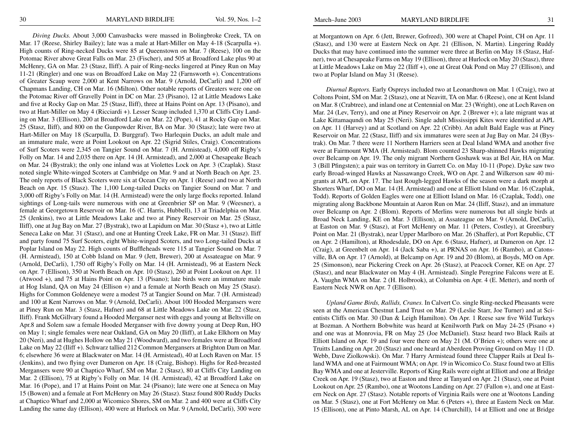*Diving Ducks.* About 3,000 Canvasbacks were massed in Bolingbroke Creek, TA on Mar. 17 (Reese, Shirley Bailey); late was a male at Hart-Miller on May 4-18 (Scarpulla +). High counts of Ring-necked Ducks were 85 at Queenstown on Mar. 7 (Reese), 100 on the Potomac River above Great Falls on Mar. 23 (Fischer), and 505 at Broadford Lake plus 90 at McHenry, GA on Mar. 23 (Stasz, Iliff). A pair of Ring-necks lingered at Piney Run on May 11-21 (Ringler) and one was on Broadford Lake on May 22 (Farnsworth +). Concentrations of Greater Scaup were 2,000 at Kent Narrows on Mar. 9 (Arnold, DeCarli) and 1,200 off Chapmans Landing, CH on Mar. 16 (Milton). Other notable reports of Greaters were one on the Potomac River off Gravelly Point in DC on Mar. 23 (Pisano), 12 at Little Meadows Lake and five at Rocky Gap on Mar. 25 (Stasz, Iliff), three at Hains Point on Apr. 13 (Pisano), and two at Hart-Miller on May 4 (Ricciardi +). Lesser Scaup included 1,370 at Cliffs City Landing on Mar. 3 (Ellison), 200 at Broadford Lake on Mar. 22 (Pope), 41 at Rocky Gap on Mar. 25 (Stasz, Iliff), and 800 on the Gunpowder River, BA on Mar. 30 (Stasz); late were two at Hart-Miller on May 18 (Scarpulla, D. Burggraf). Two Harlequin Ducks, an adult male and an immature male, were at Point Lookout on Apr. 22 (Sigrid Stiles, Craig). Concentrations of Surf Scoters were 2,345 on Tangier Sound on Mar. 7 (H. Armistead), 4,000 off Rigby's Folly on Mar. 14 and 2,035 there on Apr. 14 (H. Armistead), and 2,000 at Chesapeake Beach on Mar. 24 (Bystrak); the only one inland was at Violettes Lock on Apr. 3 (Czaplak). Stasz noted single White-winged Scoters at Cambridge on Mar. 9 and at North Beach on Apr. 23. The only reports of Black Scoters were six at Ocean City on Apr. 1 (Reese) and two at North Beach on Apr. 15 (Stasz). The 1,100 Long-tailed Ducks on Tangier Sound on Mar. 7 and 3,000 off Rigby's Folly on Mar. 14 (H. Armistead) were the only large flocks reported. Inland sightings of Long-tails were numerous with one at Greenbrier SP on Mar. 9 (Weesner), a female at Georgetown Reservoir on Mar. 16 (C. Harris, Hubbell), 13 at Triadelphia on Mar. 25 (Jenkins), two at Little Meadows Lake and two at Piney Reservoir on Mar. 25 (Stasz, Iliff), one at Jug Bay on Mar. 27 (Bystrak), two at Lapidum on Mar. 30 (Stasz +), two at Little Seneca Lake on Mar. 31 (Stasz), and one at Hunting Creek Lake, FR on Mar. 31 (Stasz). Iliff and party found 75 Surf Scoters, eight White-winged Scoters, and two Long-tailed Ducks at Poplar Island on May 22. High counts of Buffleheads were 115 at Tangier Sound on Mar. 7 (H. Armistead), 150 at Cobb Island on Mar. 9 (Jett, Brewer), 200 at Assateague on Mar. 9 (Arnold, DeCarli), 1,750 off Rigby's Folly on Mar. 14 (H. Armistead), 96 at Eastern Neck on Apr. 7 (Ellison), 350 at North Beach on Apr. 10 (Stasz), 260 at Point Lookout on Apr. 11 (Atwood +), and 75 at Hains Point on Apr. 13 (Pisano); late birds were an immature male at Hog Island, QA on May 24 (Ellison +) and a female at North Beach on May 25 (Stasz). Highs for Common Goldeneye were a modest 75 at Tangier Sound on Mar. 7 (H. Armistead) and 100 at Kent Narrows on Mar. 9 (Arnold, DeCarli). About 100 Hooded Mergansers were at Piney Run on Mar. 3 (Stasz, Hafner) and 68 at Little Meadows Lake on Mar. 22 (Stasz, Iliff). Frank McGillvary found a Hooded Merganser nest with eggs and young at Beltsville on Apr.8 and Solem saw a female Hooded Merganser with five downy young at Deep Run, HO on May 1; single females were near Oakland, GA on May 20 (Iliff), at Lake Elkhorn on May 20 (Neri), and at Hughes Hollow on May 21 (Woodward), and two females were at Broadford Lake on May 22 (Iliff +). Schwarz tallied 212 Common Mergansers at Brighton Dam on Mar. 6; elsewhere 36 were at Blackwater on Mar. 14 (H. Armistead), 40 at Loch Raven on Mar. 15 (Jenkins), and two flying over Dameron on Apr. 18 (Craig, Bishop). Highs for Red-breasted Mergansers were 90 at Chaptico Wharf, SM on Mar. 2 (Stasz), 80 at Cliffs City Landing on Mar. 2 (Ellison), 75 at Rigby's Folly on Mar. 14 (H. Armistead), 42 at Broadford Lake on Mar. 16 (Pope), and 17 at Hains Point on Mar. 24 (Pisano); late were one at Seneca on May 15 (Bowen) and a female at Fort McHenry on May 26 (Stasz). Stasz found 800 Ruddy Ducks at Chaptico Wharf and 2,000 at Wicomico Shores, SM on Mar. 2 and 400 were at Cliffs City Landing the same day (Ellison), 400 were at Hurlock on Mar. 9 (Arnold, DeCarli), 300 were at Morgantown on Apr. 6 (Jett, Brewer, Gofreed), 300 were at Chapel Point, CH on Apr. 11 (Stasz), and 130 were at Eastern Neck on Apr. 21 (Ellison, N. Martin). Lingering Ruddy Ducks that may have continued into the summer were three at Berlin on May 18 (Stasz, Hafner), two at Chesapeake Farms on May 19 (Ellison), three at Hurlock on May 20 (Stasz), three at Little Meadows Lake on May 22 (Iliff +), one at Great Oak Pond on May 27 (Ellison), and two at Poplar Island on May 31 (Reese).

*Diurnal Raptors.* Early Ospreys included two at Leonardtown on Mar. 1 (Craig), two at Coltons Point, SM on Mar. 2 (Stasz), one at Neavitt, TA on Mar. 6 (Reese), one at Kent Island on Mar. 8 (Crabtree), and inland one at Centennial on Mar. 23 (Wright), one at Loch Raven on Mar. 24 (Lev, Terry), and one at Piney Reservoir on Apr. 2 (Brewer +); a late migrant was at Lake Kittamaqundi on May 25 (Neri). Single adult Mississippi Kites were identified at APL on Apr. 11 (Harvey) and at Scotland on Apr. 22 (Cribb). An adult Bald Eagle was at Piney Reservoir on Mar. 22 (Stasz, Iliff) and six immatures were seen at Jug Bay on Mar. 24 (Bystrak). On Mar. 7 there were 11 Northern Harriers seen at Deal Island WMA and another five were at Fairmount WMA (H. Armistead). Blom counted 23 Sharp-shinned Hawks migrating over Belcamp on Apr. 19. The only migrant Northern Goshawk was at Bel Air, HA on Mar. 3 (Bill Pfingsten); a pair was on territory in Garrett Co. on May 10-11 (Pope). Dyke saw two early Broad-winged Hawks at Nassawango Creek, WO on Apr. 2 and Wilkerson saw 40 migrants at APL on Apr. 17. The last Rough-legged Hawks of the season were a dark morph at Shorters Wharf, DO on Mar. 14 (H. Armistead) and one at Elliott Island on Mar. 16 (Czaplak, Todd). Reports of Golden Eagles were one at Elliott Island on Mar. 16 (Czaplak, Todd), one migrating along Backbone Mountain at Aaron Run on Mar. 24 (Iliff, Stasz), and an immature over Belcamp on Apr. 2 (Blom). Reports of Merlins were numerous but all single birds at Broad Neck Landing, KE on Mar. 3 (Ellison), at Assateague on Mar. 9 (Arnold, DeCarli), at Easton on Mar. 9 (Stasz), at Fort McHenry on Mar. 11 (Peters, Costley), at Greenbury Point on Mar. 21 (Bystrak), near Upper Marlboro on Mar. 26 (Shaffer), at Port Republic, CT on Apr. 2 (Hamilton), at Rhodesdale, DO on Apr. 6 (Stasz, Hafner), at Dameron on Apr. 12 (Craig), at Greenbelt on Apr. 14 (Jack Saba +), at PRNAS on Apr. 16 (Rambo), at Catonsville, BA on Apr. 17 (Arnold), at Belcamp on Apr. 19 and 20 (Blom), at Boyds, MO on Apr. 25 (Simonson), near Pickering Creek on Apr. 26 (Stasz), at Peacock Corner, KE on Apr. 27 (Stasz), and near Blackwater on May 4 (H. Armistead). Single Peregrine Falcons were at E. A. Vaughn WMA on Mar. 2 (H. Holbrook), at Columbia on Apr. 4 (E. Metter), and north of Eastern Neck NWR on Apr. 7 (Ellison).

*Upland Game Birds, Rallids, Cranes.* In Calvert Co. single Ring-necked Pheasants were seen at the American Chestnut Land Trust on Mar. 29 (Leslie Starr, Joe Turner) and at Scientists Cliffs on Mar. 30 (Dan & Leigh Hamilton). On Apr. 1 Reese saw five Wild Turkeys at Bozman. A Northern Bobwhite was heard at Kenilworth Park on May 24-25 (Pisano +) and one was at Monrovia, FR on May 25 (Joe McDaniel). Stasz heard two Black Rails at Elliott Island on Apr. 19 and four were there on May 21 (M. O'Brien +); others were one at Truitts Landing on Apr. 20 (Stasz) and one heard at Aberdeen Proving Ground on May 11 (D. Webb, Dave Ziolkowski). On Mar. 7 Harry Armistead found three Clapper Rails at Deal Island WMA and one at Fairmount WMA; on Apr. 19 in Wicomico Co. Stasz found two at Ellis Bay WMA and one at Jesterville. Reports of King Rails were eight at Elliott and one at Bridge Creek on Apr. 19 (Stasz), two at Easton and three at Tanyard on Apr. 21 (Stasz), one at Point Lookout on Apr. 25 (Rambo), one at Wootons Landing on Apr. 27 (Fallon +), and one at Eastern Neck on Apr. 27 (Stasz). Notable reports of Virginia Rails were one at Wootons Landing on Mar. 5 (Stasz), one at Fort McHenry on Mar. 6 (Peters +), three at Eastern Neck on Mar. 15 (Ellison), one at Pinto Marsh, AL on Apr. 14 (Churchill), 14 at Elliott and one at Bridge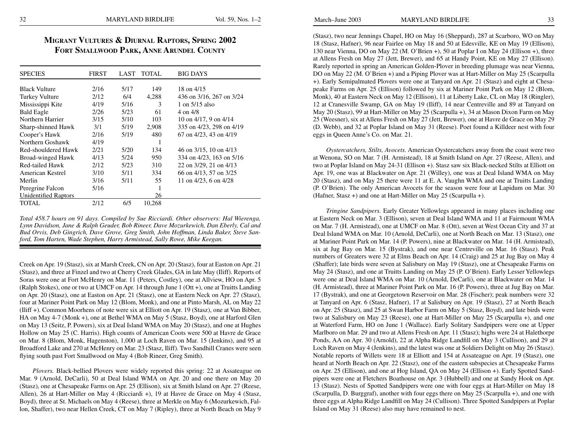## **Migrant Vultures & Diurnal Raptors, Spring 2002 Fort Smallwood Park, Anne Arundel County**

| <b>SPECIES</b>              | <b>FIRST</b> | LAST | <b>TOTAL</b> | <b>BIG DAYS</b>            |
|-----------------------------|--------------|------|--------------|----------------------------|
|                             |              |      |              |                            |
| <b>Black Vulture</b>        | 2/16         | 5/17 | 149          | 18 on 4/15                 |
| <b>Turkey Vulture</b>       | 2/12         | 6/4  | 4,288        | 436 on 3/16, 267 on 3/24   |
| Mississippi Kite            | 4/19         | 5/16 | 3            | 1 on 5/15 also             |
| <b>Bald Eagle</b>           | 2/26         | 5/23 | 61           | $4 \text{ on } 4/8$        |
| Northern Harrier            | 3/15         | 5/10 | 103          | 10 on $4/17$ , 9 on $4/14$ |
| Sharp-shinned Hawk          | 3/1          | 5/19 | 2,908        | 335 on 4/23, 298 on 4/19   |
| Cooper's Hawk               | 2/16         | 5/19 | 480          | 67 on 4/23, 43 on 4/19     |
| Northern Goshawk            | 4/19         |      | 1            |                            |
| Red-shouldered Hawk         | 2/21         | 5/20 | 134          | 46 on 3/15, 10 on 4/13     |
| Broad-winged Hawk           | 4/13         | 5/24 | 950          | 334 on 4/23, 163 on 5/16   |
| Red-tailed Hawk             | 2/12         | 5/23 | 310          | 22 on 3/29, 21 on 4/13     |
| American Kestrel            | 3/10         | 5/11 | 334          | 66 on 4/13, 57 on 3/25     |
| Merlin                      | 3/16         | 5/11 | 55           | 11 on 4/23, 6 on 4/28      |
| Peregrine Falcon            | 5/16         |      | 1            |                            |
| <b>Unidentified Raptors</b> |              |      | 26           |                            |
| TOTAL                       | 2/12         | 6/5  | 10,268       |                            |

*Total 458.7 hours on 91 days. Compiled by Sue Ricciardi. Other observers: Hal Wierenga, Lynn Davidson, Jane & Ralph Geuder, Bob Rineer, Dave Mozurkewich, Dan Eberly, Cal and Bud Orvis, Deb Gingrich, Dave Grove, Greg Smith, John Hoffman, Linda Baker, Steve Sanford, Tom Harten, Wade Stephen, Harry Armistead, Sally Rowe, Mike Keegan.*

Creek on Apr. 19 (Stasz), six at Marsh Creek, CN on Apr. 20 (Stasz), four at Easton on Apr. 21 (Stasz), and three at Finzel and two at Cherry Creek Glades, GA in late May (Iliff). Reports of Soras were one at Fort McHenry on Mar. 11 (Peters, Costley), one at Allview, HO on Apr. 5 (Ralph Stokes), one or two at UMCF on Apr. 14 through June 1 (Ott +), one at Truitts Landing on Apr. 20 (Stasz), one at Easton on Apr. 21 (Stasz), one at Eastern Neck on Apr. 27 (Stasz), four at Mariner Point Park on May 12 (Blom, Monk), and one at Pinto Marsh, AL on May 22 (Iliff +). Common Moorhens of note were six at Elliott on Apr. 19 (Stasz), one at Van Bibber, HA on May 4-7 (Monk +), one at Bethel WMA on May 5 (Stasz, Boyd), one at Harford Glen on May 13 (Seitz, P. Powers), six at Deal Island WMA on May 20 (Stasz), and one at Hughes Hollow on May 25 (C. Harris). High counts of American Coots were 500 at Havre de Grace on Mar. 8 (Blom, Monk, Hagenston), 1,000 at Loch Raven on Mar. 15 (Jenkins), and 95 at Broadford Lake and 270 at McHenry on Mar. 23 (Stasz, Iliff). Two Sandhill Cranes were seen flying south past Fort Smallwood on May 4 (Bob Rineer, Greg Smith).

*Plovers.* Black-bellied Plovers were widely reported this spring: 22 at Assateague on Mar. 9 (Arnold, DeCarli), 50 at Deal Island WMA on Apr. 20 and one there on May 20 (Stasz), one at Chesapeake Farms on Apr. 25 (Ellison), six at Smith Island on Apr. 27 (Reese, Allen), 26 at Hart-Miller on May 4 (Ricciardi +), 19 at Havre de Grace on May 4 (Stasz, Boyd), three at St. Michaels on May 4 (Reese), three at Merkle on May 6 (Mozurkewich, Fallon, Shaffer), two near Hellen Creek, CT on May 7 (Ripley), three at North Beach on May 9

(Stasz), two near Jennings Chapel, HO on May 16 (Sheppard), 287 at Scarboro, WO on May 18 (Stasz, Hafner), 96 near Fairlee on May 18 and 50 at Edesville, KE on May 19 (Ellison), 130 near Vienna, DO on May 22 (M. O'Brien +), 50 at Poplar I on May 24 (Ellison +), three at Allens Fresh on May 27 (Jett, Brewer), and 65 at Handy Point, KE on May 27 (Ellison). Rarely reported in spring an American Golden-Plover in breeding plumage was near Vienna, DO on May 22 (M. O'Brien +) and a Piping Plover was at Hart-Miller on May 25 (Scarpulla +). Early Semipalmated Plovers were one at Tanyard on Apr. 21 (Stasz) and eight at Chesapeake Farms on Apr. 25 (Ellison) followed by six at Mariner Point Park on May 12 (Blom, Monk), 40 at Eastern Neck on May 12 (Ellison), 11 at Liberty Lake, CL on May 18 (Ringler), 12 at Cranesville Swamp, GA on May 19 (Iliff), 14 near Centreville and 89 at Tanyard on May 20 (Stasz), 99 at Hart-Miller on May 25 (Scarpulla +), 34 at Mason Dixon Farm on May 25 (Weesner), six at Allens Fresh on May 27 (Jett, Brewer), one at Havre de Grace on May 29 (D. Webb), and 32 at Poplar Island on May 31 (Reese). Poet found a Killdeer nest with four eggs in Queen Anne's Co. on Mar. 21.

*Oystercatchers, Stilts, Avocets.* American Oystercatchers away from the coast were two at Wenona, SO on Mar. 7 (H. Armistead), 18 at Smith Island on Apr. 27 (Reese, Allen), and two at Poplar Island on May 24-31 (Ellison +). Stasz saw six Black-necked Stilts at Elliott on Apr. 19, one was at Blackwater on Apr. 21 (Willey), one was at Deal Island WMA on May 20 (Stasz), and on May 25 there were 11 at E. A. Vaughn WMA and one at Truitts Landing (P. O'Brien). The only American Avocets for the season were four at Lapidum on Mar. 30 (Hafner, Stasz +) and one at Hart-Miller on May 25 (Scarpulla +).

*Tringine Sandpipers.* Early Greater Yellowlegs appeared in many places including one at Eastern Neck on Mar. 3 (Ellison), seven at Deal Island WMA and 11 at Fairmount WMA on Mar. 7 (H. Armistead), one at UMCF on Mar. 8 (Ott), seven at West Ocean City and 37 at Deal Island WMA on Mar. 10 (Arnold, DeCarli), one at North Beach on Mar. 13 (Stasz), one at Mariner Point Park on Mar. 14 (P. Powers), nine at Blackwater on Mar. 14 (H. Armistead), six at Jug Bay on Mar. 15 (Bystrak), and one near Centreville on Mar. 16 (Stasz). Peak numbers of Greaters were 32 at Elms Beach on Apr. 14 (Craig) and 25 at Jug Bay on May 4 (Shaffer); late birds were seven at Salisbury on May 19 (Stasz), one at Chesapeake Farms on May 24 (Stasz), and one at Truitts Landing on May 25 (P. O'Brien). Early Lesser Yellowlegs were one at Deal Island WMA on Mar. 10 (Arnold, DeCarli), one at Blackwater on Mar. 14 (H. Armistead), three at Mariner Point Park on Mar. 16 (P. Powers), three at Jug Bay on Mar. 17 (Bystrak), and one at Georgetown Reservoir on Mar. 28 (Fischer); peak numbers were 32 at Tanyard on Apr. 6 (Stasz, Hafner), 17 at Salisbury on Apr. 19 (Stasz), 27 at North Beach on Apr. 25 (Stasz), and 25 at Swan Harbor Farm on May 5 (Stasz, Boyd), and late birds were two at Salisbury on May 23 (Reese), one at Hart-Miller on May 25 (Scarpulla +), and one at Waterford Farm, HO on June 1 (Wallace). Early Solitary Sandpipers were one at Upper Marlboro on Mar. 29 and two at Allens Fresh on Apr. 11 (Stasz); highs were 24 at Halethorpe Ponds, AA on Apr. 30 (Arnold), 22 at Alpha Ridge Landfill on May 3 (Cullison), and 29 at Loch Raven on May 4 (Jenkins), and the latest was one at Soldiers Delight on May 26 (Stasz). Notable reports of Willets were 18 at Elliott and 154 at Assateague on Apr. 19 (Stasz), one heard at North Beach on Apr. 22 (Stasz), one of the eastern subspecies at Chesapeake Farms on Apr. 25 (Ellison), and one at Hog Island, QA on May 24 (Ellison +). Early Spotted Sandpipers were one at Fletchers Boathouse on Apr. 3 (Hubbell) and one at Sandy Hook on Apr. 13 (Stasz). Nests of Spotted Sandpipers were one with four eggs at Hart-Miller on May 18 (Scarpulla, D. Burggraf), another with four eggs there on May 25 (Scarpulla +), and one with three eggs at Alpha Ridge Landfill on May 24 (Cullison). Three Spotted Sandpipers at Poplar Island on May 31 (Reese) also may have remained to nest.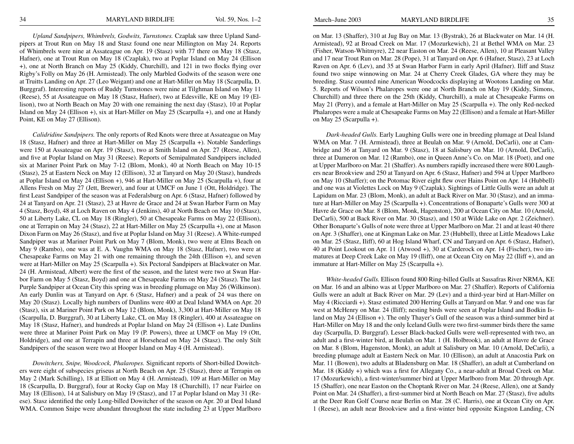*Upland Sandpipers, Whimbrels, Godwits, Turnstones.* Czaplak saw three Upland Sandpipers at Trout Run on May 18 and Stasz found one near Millington on May 24. Reports of Whimbrels were nine at Assateague on Apr. 19 (Stasz) with 77 there on May 18 (Stasz, Hafner), one at Trout Run on May 18 (Czaplak), two at Poplar Island on May 24 (Ellison +), one at North Branch on May 25 (Kiddy, Churchill), and 121 in two flocks flying over Rigby's Folly on May 26 (H. Armistead). The only Marbled Godwits of the season were one at Truitts Landing on Apr. 27 (Leo Weigant) and one at Hart-Miller on May 18 (Scarpulla, D. Burggraf). Interesting reports of Ruddy Turnstones were nine at Tilghman Island on May 11 (Reese), 55 at Assateague on May 18 (Stasz, Hafner), two at Edesville, KE on May 19 (Ellison), two at North Beach on May 20 with one remaining the next day (Stasz), 10 at Poplar Island on May 24 (Ellison +), six at Hart-Miller on May 25 (Scarpulla +), and one at Handy Point, KE on May 27 (Ellison).

*Calidridine Sandpipers.* The only reports of Red Knots were three at Assateague on May 18 (Stasz, Hafner) and three at Hart-Miller on May 25 (Scarpulla +). Notable Sanderlings were 150 at Assateague on Apr. 19 (Stasz), two at Smith Island on Apr. 27 (Reese, Allen), and five at Poplar Island on May 31 (Reese). Reports of Semipalmated Sandpipers included six at Mariner Point Park on May 7-12 (Blom, Monk), 40 at North Beach on May 10-15 (Stasz), 25 at Eastern Neck on May 12 (Ellison), 32 at Tanyard on May 20 (Stasz), hundreds at Poplar Island on May 24 (Ellison +), 946 at Hart-Miller on May 25 (Scarpulla +), four at Allens Fresh on May 27 (Jett, Brewer), and four at UMCF on June 1 (Ott, Holdridge). The first Least Sandpiper of the season was at Federalsburg on Apr. 6 (Stasz, Hafner) followed by 24 at Tanyard on Apr. 21 (Stasz), 23 at Havre de Grace and 24 at Swan Harbor Farm on May 4 (Stasz, Boyd), 48 at Loch Raven on May 4 (Jenkins), 40 at North Beach on May 10 (Stasz), 50 at Liberty Lake, CL on May 18 (Ringler), 50 at Chesapeake Farms on May 22 (Ellison), one at Terrapin on May 24 (Stasz), 22 at Hart-Miller on May 25 (Scarpulla +), one at Mason Dixon Farm on May 26 (Stasz), and five at Poplar Island on May 31 (Reese). A White-rumped Sandpiper was at Mariner Point Park on May 7 (Blom, Monk), two were at Elms Beach on May 9 (Rambo), one was at E. A. Vaughn WMA on May 18 (Stasz, Hafner), two were at Chesapeake Farms on May 21 with one remaining through the 24th (Ellison +), and seven were at Hart-Miller on May 25 (Scarpulla +). Six Pectoral Sandpipers at Blackwater on Mar. 24 (H. Armistead, Albert) were the first of the season, and the latest were two at Swan Harbor Farm on May 5 (Stasz, Boyd) and one at Chesapeake Farms on May 24 (Stasz). The last Purple Sandpiper at Ocean City this spring was in breeding plumage on May 26 (Wilkinson). An early Dunlin was at Tanyard on Apr. 6 (Stasz, Hafner) and a peak of 24 was there on May 20 (Stasz). Locally high numbers of Dunlins were 400 at Deal Island WMA on Apr. 20 (Stasz), six at Mariner Point Park on May 12 (Blom, Monk), 3,300 at Hart-Miller on May 18 (Scarpulla, D. Burggraf), 30 at Liberty Lake, CL on May 18 (Ringler), 400 at Assateague on May 18 (Stasz, Hafner), and hundreds at Poplar Island on May 24 (Ellison +). Late Dunlins were three at Mariner Point Park on May 19 (P. Powers), three at UMCF on May 19 (Ott, Holdridge), and one at Terrapin and three at Horsehead on May 24 (Stasz). The only Stilt Sandpipers of the season were two at Hooper Island on May 4 (H. Armistead).

*Dowitchers, Snipe, Woodcock, Phalaropes.* Significant reports of Short-billed Dowitchers were eight of subspecies griseus at North Beach on Apr. 25 (Stasz), three at Terrapin on May 2 (Mark Schilling), 18 at Elliott on May 4 (H. Armistead), 109 at Hart-Miller on May 18 (Scarpulla, D. Burggraf), four at Rocky Gap on May 18 (Churchill), 17 near Fairlee on May 18 (Ellison), 14 at Salisbury on May 19 (Stasz), and 17 at Poplar Island on May 31 (Reese). Stasz identified the only Long-billed Dowitcher of the season on Apr. 20 at Deal Island WMA. Common Snipe were abundant throughout the state including 23 at Upper Marlboro

on Mar. 13 (Shaffer), 310 at Jug Bay on Mar. 13 (Bystrak), 26 at Blackwater on Mar. 14 (H. Armistead), 92 at Broad Creek on Mar. 17 (Mozurkewich), 21 at Bethel WMA on Mar. 23 (Fisher, Watson-Whitmyre), 22 near Easton on Mar. 24 (Reese, Allen), 10 at Pleasant Valley and 17 near Trout Run on Mar. 28 (Pope), 31 at Tanyard on Apr. 6 (Hafner, Stasz), 23 at Loch Raven on Apr. 6 (Lev), and 35 at Swan Harbor Farm in early April (Hafner). Iliff and Stasz found two snipe winnowing on Mar. 24 at Cherry Creek Glades, GA where they may be breeding. Stasz counted nine American Woodcocks displaying at Wootons Landing on Mar. 5. Reports of Wilson's Phalaropes were one at North Branch on May 19 (Kiddy, Simons, Churchill) and three there on the 25th (Kiddy, Churchill), a male at Chesapeake Farms on May 21 (Perry), and a female at Hart-Miller on May 25 (Scarpulla +). The only Red-necked Phalaropes were a male at Chesapeake Farms on May 22 (Ellison) and a female at Hart-Miller on May 25 (Scarpulla +).

*Dark-headed Gulls.* Early Laughing Gulls were one in breeding plumage at Deal Island WMA on Mar. 7 (H. Armistead), three at Beulah on Mar. 9 (Arnold, DeCarli), one at Cambridge and 36 at Tanyard on Mar. 9 (Stasz), 18 at Salisbury on Mar. 10 (Arnold, DeCarli), three at Dameron on Mar. 12 (Rambo), one in Queen Anne's Co. on Mar. 18 (Poet), and one at Upper Marlboro on Mar. 21 (Shaffer). As numbers rapidly increased there were 800 Laughers near Brookview and 250 at Tanyard on Apr. 6 (Stasz, Hafner) and 594 at Upper Marlboro on May 10 (Shaffer); on the Potomac River eight flew over Hains Point on Apr. 14 (Hubbell) and one was at Violettes Lock on May 9 (Czaplak). Sightings of Little Gulls were an adult at Lapidum on Mar. 23 (Blom, Monk), an adult at Back River on Mar. 30 (Stasz), and an immature at Hart-Miller on May 25 (Scarpulla +). Concentrations of Bonaparte's Gulls were 300 at Havre de Grace on Mar. 8 (Blom, Monk, Hagenston), 200 at Ocean City on Mar. 10 (Arnold, DeCarli), 500 at Back River on Mar. 30 (Stasz), and 150 at Wilde Lake on Apr. 2 (Zeichner). Other Bonaparte's Gulls of note were three at Upper Marlboro on Mar. 21 and at least 40 there on Apr. 3 (Shaffer), one at Kingman Lake on Mar. 23 (Hubbell), three at Little Meadows Lake on Mar. 25 (Stasz, Iliff), 60 at Hog Island Wharf, CN and Tanyard on Apr. 6 (Stasz, Hafner), 40 at Point Lookout on Apr. 11 (Atwood +), 30 at Carderock on Apr. 14 (Fischer), two immatures at Deep Creek Lake on May 19 (Iliff), one at Ocean City on May 22 (Iliff +), and an immature at Hart-Miller on May 25 (Scarpulla +).

*White-headed Gulls.* Ellison found 800 Ring-billed Gulls at Sassafras River NRMA, KE on Mar. 16 and an albino was at Upper Marlboro on Mar. 27 (Shaffer). Reports of California Gulls were an adult at Back River on Mar. 29 (Lev) and a third-year bird at Hart-Miller on May 4 (Ricciardi +). Stasz estimated 200 Herring Gulls at Tanyard on Mar. 9 and one was far west at McHenry on Mar. 24 (Iliff); nesting birds were seen at Poplar Island and Bodkin Island on May 24 (Ellison +). The only Thayer's Gull of the season was a third-summer bird at Hart-Miller on May 18 and the only Iceland Gulls were two first-summer birds there the same day (Scarpulla, D. Burggraf). Lesser Black-backed Gulls were well-represented with two, an adult and a first-winter bird, at Beulah on Mar. 1 (H. Holbrook), an adult at Havre de Grace on Mar. 8 (Blom, Hagenston, Monk), an adult at Salisbury on Mar. 10 (Arnold, DeCarli), a breeding plumage adult at Eastern Neck on Mar. 10 (Ellison), an adult at Anacostia Park on Mar. 11 (Bowen), two adults at Bladensburg on Mar. 18 (Shaffer), an adult at Cumberland on Mar. 18 (Kiddy +) which was a first for Allegany Co., a near-adult at Broad Creek on Mar. 17 (Mozurkewich), a first-winter/summer bird at Upper Marlboro from Mar. 20 through Apr. 15 (Shaffer), one near Easton on the Choptank River on Mar. 24 (Reese, Allen), one at Sandy Point on Mar. 24 (Shaffer), a first-summer bird at North Beach on Mar. 27 (Stasz), five adults at the Deer Run Golf Course near Berlin on Mar. 28 (C. Harris), one at Ocean City on Apr. 1 (Reese), an adult near Brookview and a first-winter bird opposite Kingston Landing, CN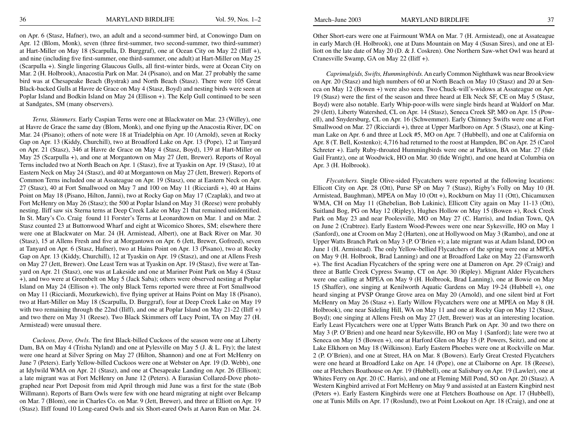on Apr. 6 (Stasz, Hafner), two, an adult and a second-summer bird, at Conowingo Dam on Apr. 12 (Blom, Monk), seven (three first-summer, two second-summer, two third-summer) at Hart-Miller on May 18 (Scarpulla, D. Burggraf), one at Ocean City on May 22 (Iliff +), and nine (including five first-summer, one third-summer, one adult) at Hart-Miller on May 25 (Scarpulla +). Single lingering Glaucous Gulls, all first-winter birds, were at Ocean City on Mar. 2 (H. Holbrook), Anacostia Park on Mar. 24 (Pisano), and on Mar. 27 probably the same bird was at Chesapeake Beach (Bystrak) and North Beach (Stasz). There were 105 Great Black-backed Gulls at Havre de Grace on May 4 (Stasz, Boyd) and nesting birds were seen at Poplar Island and Bodkin Island on May 24 (Ellison +). The Kelp Gull continued to be seen at Sandgates, SM (many observers).

*Terns, Skimmers.* Early Caspian Terns were one at Blackwater on Mar. 23 (Willey), one at Havre de Grace the same day (Blom, Monk), and one flying up the Anacostia River, DC on Mar. 24 (Pisano); others of note were 18 at Triadelphia on Apr. 10 (Arnold), seven at Rocky Gap on Apr. 13 (Kiddy, Churchill), two at Broadford Lake on Apr. 13 (Pope), 12 at Tanyard on Apr. 21 (Stasz), 346 at Havre de Grace on May 4 (Stasz, Boyd), 139 at Hart-Miller on May 25 (Scarpulla +), and one at Morgantown on May 27 (Jett, Brewer). Reports of Royal Terns included two at North Beach on Apr. 1 (Stasz), five at Tyaskin on Apr. 19 (Stasz), 10 at Eastern Neck on May 24 (Stasz), and 40 at Morgantown on May 27 (Jett, Brewer). Reports of Common Terns included one at Assateague on Apr. 19 (Stasz), one at Eastern Neck on Apr. 27 (Stasz), 40 at Fort Smallwood on May 7 and 100 on May 11 (Ricciardi +), 40 at Hains Point on May 18 (Pisano, Hilton, Janni), two at Rocky Gap on May 17 (Czaplak), and two at Fort McHenry on May 26 (Stasz); the 500 at Poplar Island on May 31 (Reese) were probably nesting. Iliff saw six Sterna terns at Deep Creek Lake on May 21 that remained unidentified. In St. Mary's Co. Craig found 11 Forster's Terns at Leonardtown on Mar. 1 and on Mar. 2 Stasz counted 23 at Buttonwood Wharf and eight at Wicomico Shores, SM; elsewhere there were one at Blackwater on Mar. 24 (H. Armistead, Albert), one at Back River on Mar. 30 (Stasz), 15 at Allens Fresh and five at Morgantown on Apr. 6 (Jett, Brewer, Gofreed), seven at Tanyard on Apr. 6 (Stasz, Hafner), two at Hains Point on Apr. 13 (Pisano), two at Rocky Gap on Apr. 13 (Kiddy, Churchill), 12 at Tyaskin on Apr. 19 (Stasz), and one at Allens Fresh on May 27 (Jett, Brewer). One Least Tern was at Tyaskin on Apr. 19 (Stasz), five were at Tanyard on Apr. 21 (Stasz), one was at Lakeside and one at Mariner Point Park on May 4 (Stasz +), and two were at Greenbelt on May 5 (Jack Saba); others were observed nesting at Poplar Island on May 24 (Ellison +). The only Black Terns reported were three at Fort Smallwood on May 11 (Ricciardi, Mozurkewich), five flying upriver at Hains Point on May 18 (Pisano), two at Hart-Miller on May 18 (Scarpulla, D. Burggraf), four at Deep Creek Lake on May 19 with two remaining through the 22nd (Iliff), and one at Poplar Island on May 21-22 (Iliff +) and two there on May 31 (Reese). Two Black Skimmers off Lucy Point, TA on May 27 (H. Armistead) were unusual there.

*Cuckoos, Dove, Owls.* The first Black-billed Cuckoos of the season were one at Liberty Dam, BA on May 4 (Trisha Nyland) and one at Pylesville on May 5 (J. & L. Fry); the latest were one heard at Silver Spring on May 27 (Hilton, Shannon) and one at Fort McHenry on June 7 (Peters). Early Yellow-billed Cuckoos were one at Webster on Apr. 19 (D. Webb), one at Idylwild WMA on Apr. 21 (Stasz), and one at Chesapeake Landing on Apr. 26 (Ellison); a late migrant was at Fort McHenry on June 12 (Peters). A Eurasian Collared-Dove photographed near Port Deposit from mid April through mid June was a first for the state (Bob Willmann). Reports of Barn Owls were few with one heard migrating at night over Belcamp on Mar. 7 (Blom), one in Charles Co. on Mar. 9 (Jett, Brewer), and three at Elliott on Apr. 19 (Stasz). Iliff found 10 Long-eared Owls and six Short-eared Owls at Aaron Run on Mar. 24.

Other Short-ears were one at Fairmount WMA on Mar. 7 (H. Armistead), one at Assateague in early March (H. Holbrook), one at Dans Mountain on May 4 (Susan Sires), and one at Elliott on the late date of May 20 (D. & J. Coskren). One Northern Saw-whet Owl was heard at Cranesville Swamp, GA on May 22 (Iliff +).

*Caprimulgids, Swifts, Hummingbirds.* An early Common Nighthawk was near Brookview on Apr. 20 (Stasz) and high numbers of 60 at North Beach on May 10 (Stasz) and 20 at Seneca on May 12 (Bowen +) were also seen. Two Chuck-will's-widows at Assateague on Apr. 19 (Stasz) were the first of the season and three heard at Elk Neck SF, CE on May 5 (Stasz, Boyd) were also notable. Early Whip-poor-wills were single birds heard at Waldorf on Mar. 29 (Jett), Liberty Watershed, CL on Apr. 14 (Stasz), Seneca Creek SP, MO on Apr. 15 (Powell), and Snydersburg, CL on Apr. 16 (Schwemmer). Early Chimney Swifts were one at Fort Smallwood on Mar. 27 (Ricciardi +), three at Upper Marlboro on Apr. 5 (Stasz), one at Kingman Lake on Apr. 6 and three at Lock #5, MO on Apr. 7 (Hubbell), and one at California on Apr. 8 (T. Bell, Kostenko); 4,716 had returned to the roost at Hampden, BC on Apr. 25 (Carol Schreter +). Early Ruby-throated Hummingbirds were one at Parkton, BA on Mar. 27 (fide Gail Frantz), one at Woodwick, HO on Mar. 30 (fide Wright), and one heard at Columbia on Apr. 3 (H. Holbrook).

*Flycatchers.* Single Olive-sided Flycatchers were reported at the following locations: Ellicott City on Apr. 28 (Ott), Purse SP on May 7 (Stasz), Rigby's Folly on May 10 (H. Armistead, Baughman), MPEA on May 10 (Ott +), Rockburn on May 11 (Ott), Chicamuxen WMA, CH on May 11 (Ghebelian, Bob Lukinic), Ellicott City again on May 11-13 (Ott), Suitland Bog, PG on May 12 (Ripley), Hughes Hollow on May 15 (Bowen +), Rock Creek Park on May 23 and near Poolesville, MO on May 27 (C. Harris), and Indian Town, QA on June 2 (Crabtree). Early Eastern Wood-Pewees were one near Sykesville, HO on May 1 (Sanford), one at Croom on May 2 (Harten), one at Hollywood on May 3 (Rambo), and one at Upper Watts Branch Park on May 3 (P. O'Brien +); a late migrant was at Adam Island, DO on June 1 (H. Armistead). The only Yellow-bellied Flycatchers of the spring were one at MPEA on May 9 (H. Holbrook, Brad Lanning) and one at Broadford Lake on May 22 (Farnsworth +). The first Acadian Flycatchers of the spring were one at Dameron on Apr. 29 (Craig) and three at Battle Creek Cypress Swamp, CT on Apr. 30 (Ripley). Migrant Alder Flycatchers were one calling at MPEA on May 9 (H. Holbrook, Brad Lanning), one at Bowie on May 15 (Shaffer), one singing at Kenilworth Aquatic Gardens on May 19-24 (Hubbell +), one heard singing at PVSP Orange Grove area on May 20 (Arnold), and one silent bird at Fort McHenry on May 26 (Stasz +). Early Willow Flycatchers were one at MPEA on May 8 (H. Holbrook), one near Sideling Hill, WA on May 11 and one at Rocky Gap on May 12 (Stasz, Boyd); one singing at Allens Fresh on May 27 (Jett, Brewer) was at an interesting location. Early Least Flycatchers were one at Upper Watts Branch Park on Apr. 30 and two there on May 3 (P. O'Brien) and one heard near Sykesville, HO on May 1 (Sanford); late were two at Seneca on May 15 (Bowen +), one at Harford Glen on May 15 (P. Powers, Seitz), and one at Lake Elkhorn on May 18 (Wilkinson). Early Eastern Phoebes were one at Rockville on Mar. 2 (P. O'Brien), and one at Street, HA on Mar. 8 (Bowers). Early Great Crested Flycatchers were one heard at Broadford Lake on Apr. 14 (Pope), one at Claiborne on Apr. 18 (Reese), one at Fletchers Boathouse on Apr. 19 (Hubbell), one at Salisbury on Apr. 19 (Lawler), one at Whites Ferry on Apr. 20 (C. Harris), and one at Fleming Mill Pond, SO on Apr. 20 (Stasz). A Western Kingbird arrived at Fort McHenry on May 9 and assisted at an Eastern Kingbird nest (Peters +). Early Eastern Kingbirds were one at Fletchers Boathouse on Apr. 17 (Hubbell), one at Tunis Mills on Apr. 17 (Roslund), two at Point Lookout on Apr. 18 (Craig), and one at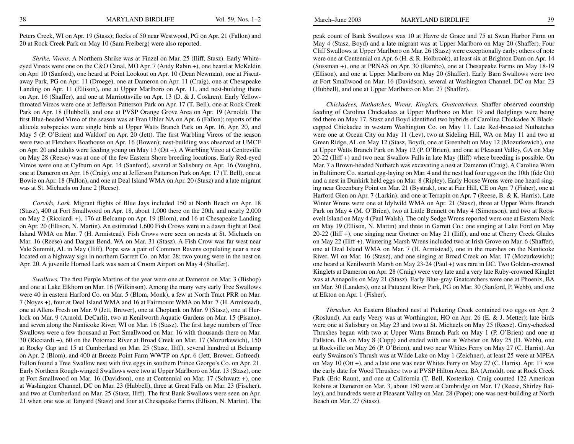Peters Creek, WI on Apr. 19 (Stasz); flocks of 50 near Westwood, PG on Apr. 21 (Fallon) and 20 at Rock Creek Park on May 10 (Sam Freiberg) were also reported.

*Shrike, Vireos.* A Northern Shrike was at Finzel on Mar. 25 (Iliff, Stasz). Early Whiteeyed Vireos were one on the C&O Canal, MO Apr. 7 (Andy Rabin +), one heard at McKeldin on Apr. 10 (Sanford), one heard at Point Lookout on Apr. 10 (Dean Newman), one at Piscataway Park, PG on Apr. 11 (Droege), one at Dameron on Apr. 11 (Craig), one at Chesapeake Landing on Apr. 11 (Ellison), one at Upper Marlboro on Apr. 11, and nest-building there on Apr. 16 (Shaffer), and one at Marriottsville on Apr. 13 (D. & J. Coskren). Early Yellowthroated Vireos were one at Jefferson Patterson Park on Apr. 17 (T. Bell), one at Rock Creek Park on Apr. 18 (Hubbell), and one at PVSP Orange Grove Area on Apr. 19 (Arnold). The first Blue-headed Vireo of the season was at Fran Uhler NA on Apr. 6 (Fallon); reports of the alticola subspecies were single birds at Upper Watts Branch Park on Apr. 16, Apr. 20, and May 5 (P. O'Brien) and Waldorf on Apr. 20 (Jett). The first Warbling Vireos of the season were two at Fletchers Boathouse on Apr. 16 (Bowen); nest-building was observed at UMCF on Apr. 20 and adults were feeding young on May 13 (Ott +). A Warbling Vireo at Centreville on May 28 (Reese) was at one of the few Eastern Shore breeding locations. Early Red-eyed Vireos were one at Cylburn on Apr. 14 (Sanford), several at Salisbury on Apr. 16 (Vaughn), one at Dameron on Apr. 16 (Craig), one at Jefferson Patterson Park on Apr. 17 (T. Bell), one at Bowie on Apr. 18 (Fallon), and one at Deal Island WMA on Apr. 20 (Stasz) and a late migrant was at St. Michaels on June 2 (Reese).

*Corvids, Lark.* Migrant flights of Blue Jays included 150 at North Beach on Apr. 18 (Stasz), 400 at Fort Smallwood on Apr. 18, about 1,000 there on the 20th, and nearly 2,000 on May 2 (Ricciardi +), 176 at Belcamp on Apr. 19 (Blom), and 16 at Chesapeake Landing on Apr. 20 (Ellison, N. Martin). An estimated 1,600 Fish Crows were in a dawn flight at Deal Island WMA on Mar. 7 (H. Armistead). Fish Crows were seen on nests at St. Michaels on Mar. 16 (Reese) and Dargan Bend, WA on Mar. 31 (Stasz). A Fish Crow was far west near Vale Summit, AL in May (Iliff). Pope saw a pair of Common Ravens copulating near a nest located on a highway sign in northern Garrett Co. on Mar. 28; two young were in the nest on Apr. 20. A juvenile Horned Lark was seen at Croom Airport on May 4 (Shaffer).

*Swallows.* The first Purple Martins of the year were one at Dameron on Mar. 3 (Bishop) and one at Lake Elkhorn on Mar. 16 (Wilkinson). Among the many very early Tree Swallows were 40 in eastern Harford Co. on Mar. 5 (Blom, Monk), a few at North Tract PRR on Mar. 7 (Noyes +), four at Deal Island WMA and 16 at Fairmount WMA on Mar. 7 (H. Armistead), one at Allens Fresh on Mar. 9 (Jett, Brewer), one at Choptank on Mar. 9 (Stasz), one at Hurlock on Mar. 9 (Arnold, DeCarli), two at Kenilworth Aquatic Gardens on Mar. 15 (Pisano), and seven along the Nanticoke River, WI on Mar. 16 (Stasz). The first large numbers of Tree Swallows were a few thousand at Fort Smallwood on Mar. 16 with thousands there on Mar. 30 (Ricciardi +), 60 on the Potomac River at Broad Creek on Mar. 17 (Mozurkewich), 150 at Rocky Gap and 15 at Cumberland on Mar. 25 (Stasz, Iliff), several hundred at Belcamp on Apr. 2 (Blom), and 400 at Breeze Point Farm WWTP on Apr. 6 (Jett, Brewer, Gofreed). Fallon found a Tree Swallow nest with five eggs in southern Prince George's Co. on Apr. 21. Early Northern Rough-winged Swallows were two at Upper Marlboro on Mar. 13 (Stasz), one at Fort Smallwood on Mar. 16 (Davidson), one at Centennial on Mar. 17 (Schwarz +), one at Washington Channel, DC on Mar. 23 (Hubbell), three at Great Falls on Mar. 23 (Fischer), and two at Cumberland on Mar. 25 (Stasz, Iliff). The first Bank Swallows were seen on Apr. 21 when one was at Tanyard (Stasz) and four at Chesapeake Farms (Ellison, N. Martin). The

peak count of Bank Swallows was 10 at Havre de Grace and 75 at Swan Harbor Farm on May 4 (Stasz, Boyd) and a late migrant was at Upper Marlboro on May 20 (Shaffer). Four Cliff Swallows at Upper Marlboro on Mar. 26 (Stasz) were exceptionally early; others of note were one at Centennial on Apr. 6 (H. & R. Holbrook), at least six at Brighton Dam on Apr. 14 (Sussman +), one at PRNAS on Apr. 30 (Rambo), one at Chesapeake Farms on May 18-19 (Ellison), and one at Upper Marlboro on May 20 (Shaffer). Early Barn Swallows were two at Fort Smallwood on Mar. 16 (Davidson), several at Washington Channel, DC on Mar. 23 (Hubbell), and one at Upper Marlboro on Mar. 27 (Shaffer).

*Chickadees, Nuthatches, Wrens, Kinglets, Gnatcatchers.* Shaffer observed courtship feeding of Carolina Chickadees at Upper Marlboro on Mar. 19 and fledglings were being fed there on May 17. Stasz and Boyd identified two hybrids of Carolina Chickadee X Blackcapped Chickadee in western Washington Co. on May 11. Late Red-breasted Nuthatches were one at Ocean City on May 11 (Lev), two at Sideling Hill, WA on May 11 and two at Green Ridge, AL on May 12 (Stasz, Boyd), one at Greenbelt on May 12 (Mozurkewich), one at Upper Watts Branch Park on May 12 (P. O'Brien), and one at Pleasant Valley, GA on May 20-22 (Iliff +) and two near Swallow Falls in late May (Iliff) where breeding is possible. On Mar. 7 a Brown-headed Nuthatch was excavating a nest at Dameron (Craig). A Carolina Wren in Baltimore Co. started egg-laying on Mar. 4 and the nest had four eggs on the 10th (fide Ott) and a nest in Dunkirk held eggs on Mar. 8 (Ripley). Early House Wrens were one heard singing near Greenbury Point on Mar. 21 (Bystrak), one at Fair Hill, CE on Apr. 7 (Fisher), one at Harford Glen on Apr. 7 (Larkin), and one at Terrapin on Apr. 7 (Reese, B. & K. Harris). Late Winter Wrens were one at Idylwild WMA on Apr. 21 (Stasz), three at Upper Watts Branch Park on May 4 (M. O'Brien), two at Little Bennett on May 4 (Simonson), and two at Roosevelt Island on May 4 (Paul Walsh). The only Sedge Wrens reported were one at Eastern Neck on May 19 (Ellison, N. Martin) and three in Garrett Co.: one singing at Lake Ford on May 20-22 (Iliff +), one singing near Gortner on May 21 (Iliff), and one at Cherry Creek Glades on May 22 (Iliff +). Wintering Marsh Wrens included two at Irish Grove on Mar. 6 (Shaffer), one at Deal Island WMA on Mar. 7 (H. Armistead), one in the marshes on the Nanticoke River, WI on Mar. 16 (Stasz), and one singing at Broad Creek on Mar. 17 (Mozurkewich); one heard at Kenilworth Marsh on May 23-24 (Paul +) was rare in DC. Two Golden-crowned Kinglets at Dameron on Apr. 28 (Craig) were very late and a very late Ruby-crowned Kinglet was at Annapolis on May 21 (Stasz). Early Blue-gray Gnatcatchers were one at Phoenix, BA on Mar. 30 (Landers), one at Patuxent River Park, PG on Mar. 30 (Sanford, P. Webb), and one at Elkton on Apr. 1 (Fisher).

*Thrushes.* An Eastern Bluebird nest at Pickering Creek contained two eggs on Apr. 2 (Roslund). An early Veery was at Worthington, HO on Apr. 26 (E. & J. Metter); late birds were one at Salisbury on May 23 and two at St. Michaels on May 25 (Reese). Gray-cheeked Thrushes began with two at Upper Watts Branch Park on May 1 (P. O'Brien) and one at Fallston, HA on May 8 (Cupp) and ended with one at Webster on May 25 (D. Webb), one at Rockville on May 26 (P. O'Brien), and two near Whites Ferry on May 27 (C. Harris). An early Swainson's Thrush was at Wilde Lake on May 1 (Zeichner), at least 25 were at MPEA on May 10 (Ott +), and a late one was near Whites Ferry on May 27 (C. Harris). Apr. 17 was the early date for Wood Thrushes: two at PVSP Hilton Area, BA (Arnold), one at Rock Creek Park (Eric Raun), and one at California (T. Bell, Kostenko). Craig counted 122 American Robins at Dameron on Mar. 3, about 150 were at Cambridge on Mar. 17 (Reese, Shirley Bailey), and hundreds were at Pleasant Valley on Mar. 28 (Pope); one was nest-building at North Beach on Mar. 27 (Stasz).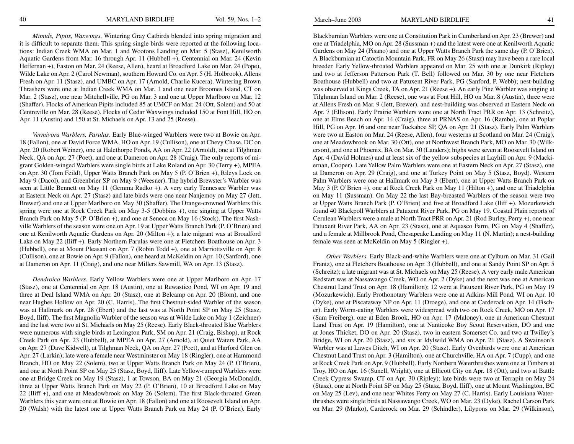*Mimids, Pipits, Waxwings.* Wintering Gray Catbirds blended into spring migration and it is difficult to separate them. This spring single birds were reported at the following locations: Indian Creek WMA on Mar. 1 and Wootons Landing on Mar. 5 (Stasz), Kenilworth Aquatic Gardens from Mar. 16 through Apr. 11 (Hubbell +), Centennial on Mar. 24 (Kevin Heffernan +), Easton on Mar. 24 (Reese, Allen), heard at Broadford Lake on Mar. 24 (Pope), Wilde Lake on Apr. 2 (Carol Newman), southern Howard Co. on Apr. 5 (H. Holbrook), Allens Fresh on Apr. 11 (Stasz), and UMBC on Apr. 17 (Arnold, Charlie Kucera). Wintering Brown Thrashers were one at Indian Creek WMA on Mar. 1 and one near Broomes Island, CT on Mar. 2 (Stasz), one near Mitchellville, PG on Mar. 3 and one at Upper Marlboro on Mar. 12 (Shaffer). Flocks of American Pipits included 85 at UMCF on Mar. 24 (Ott, Solem) and 50 at Centreville on Mar. 28 (Reese). Flocks of Cedar Waxwings included 150 at Font Hill, HO on Apr. 11 (Austin) and 150 at St. Michaels on Apr. 13 and 25 (Reese).

*Vermivora Warblers, Parulas.* Early Blue-winged Warblers were two at Bowie on Apr. 18 (Fallon), one at David Force WMA, HO on Apr. 19 (Cullison), one at Chevy Chase, DC on Apr. 20 (Robert Weiner), one at Halethorpe Ponds, AA on Apr. 22 (Arnold), one at Tilghman Neck, QA on Apr. 27 (Poet), and one at Dameron on Apr. 28 (Craig). The only reports of migrant Golden-winged Warblers were single birds at Lake Roland on Apr. 30 (Terry +), MPEA on Apr. 30 (Tom Feild), Upper Watts Branch Park on May 5 (P. O'Brien +), Rileys Lock on May 9 (Dacol), and Greenbrier SP on May 9 (Weesner). The hybrid Brewster's Warbler was seen at Little Bennett on May 11 (Gemma Radko +). A very early Tennessee Warbler was at Eastern Neck on Apr. 27 (Stasz) and late birds were one near Nanjemoy on May 27 (Jett, Brewer) and one at Upper Marlboro on May 30 (Shaffer). The Orange-crowned Warblers this spring were one at Rock Creek Park on May 3-5 (Dobbins +), one singing at Upper Watts Branch Park on May 5 (P. O'Brien +), and one at Seneca on May 16 (Stock). The first Nashville Warblers of the season were one on Apr. 19 at Upper Watts Branch Park (P. O'Brien) and one at Kenilworth Aquatic Gardens on Apr. 20 (Milton +); a late migrant was at Broadford Lake on May 22 (Iliff +). Early Northern Parulas were one at Fletchers Boathouse on Apr. 3 (Hubbell), one at Mount Pleasant on Apr. 7 (Robin Todd +), one at Marriottsville on Apr. 8 (Cullison), one at Bowie on Apr. 9 (Fallon), one heard at McKeldin on Apr. 10 (Sanford), one at Dameron on Apr. 11 (Craig), and one near Millers Sawmill, WA on Apr. 13 (Stasz).

*Dendroica Warblers.* Early Yellow Warblers were one at Upper Marlboro on Apr. 17 (Stasz), one at Centennial on Apr. 18 (Austin), one at Rewastico Pond, WI on Apr. 19 and three at Deal Island WMA on Apr. 20 (Stasz), one at Belcamp on Apr. 20 (Blom), and one near Hughes Hollow on Apr. 20 (C. Harris). The first Chestnut-sided Warbler of the season was at Hallmark on Apr. 28 (Ebert) and the last was at North Point SP on May 25 (Stasz, Boyd, Iliff). The first Magnolia Warbler of the season was at Wilde Lake on May 1 (Zeichner) and the last were two at St. Michaels on May 25 (Reese). Early Black-throated Blue Warblers were numerous with single birds at Lexington Park, SM on Apr. 21 (Craig, Bishop), at Rock Creek Park on Apr. 23 (Hubbell), at MPEA on Apr. 27 (Arnold), at Quiet Waters Park, AA on Apr. 27 (Dave Kidwell), at Tilghman Neck, QA on Apr. 27 (Poet), and at Harford Glen on Apr. 27 (Larkin); late were a female near Westminster on May 18 (Ringler), one at Hammond Branch, HO on May 22 (Solem), two at Upper Watts Branch Park on May 24 (P. O'Brien), and one at North Point SP on May 25 (Stasz, Boyd, Iliff). Late Yellow-rumped Warblers were one at Bridge Creek on May 19 (Stasz), 1 at Towson, BA on May 21 (Georgia McDonald), three at Upper Watts Branch Park on May 22 (P. O'Brien), 10 at Broadford Lake on May 22 (Iliff +), and one at Meadowbrook on May 26 (Solem). The first Black-throated Green Warblers this year were one at Bowie on Apr. 18 (Fallon) and one at Roosevelt Island on Apr. 20 (Walsh) with the latest one at Upper Watts Branch Park on May 24 (P. O'Brien). Early

Blackburnian Warblers were one at Constitution Park in Cumberland on Apr. 23 (Brewer) and one at Triadelphia, MO on Apr. 28 (Sussman +) and the latest were one at Kenilworth Aquatic Gardens on May 24 (Pisano) and one at Upper Watts Branch Park the same day (P. O'Brien). A Blackburnian at Catoctin Mountain Park, FR on May 26 (Stasz) may have been a rare local breeder. Early Yellow-throated Warblers appeared on Mar. 25 with one at Dunkirk (Ripley) and two at Jefferson Patterson Park (T. Bell) followed on Mar. 30 by one near Fletchers Boathouse (Hubbell) and two at Patuxent River Park, PG (Sanford, P. Webb); nest-building was observed at Kings Creek, TA on Apr. 21 (Reese +). An early Pine Warbler was singing at Tilghman Island on Mar. 2 (Reese), one was at Font Hill, HO on Mar. 8 (Austin), three were at Allens Fresh on Mar. 9 (Jett, Brewer), and nest-building was observed at Eastern Neck on Apr. 7 (Ellison). Early Prairie Warblers were one at North Tract PRR on Apr. 13 (Schreitz), one at Elms Beach on Apr. 14 (Craig), three at PRNAS on Apr. 16 (Rambo), one at Poplar Hill, PG on Apr. 16 and one near Tuckahoe SP, QA on Apr. 21 (Stasz). Early Palm Warblers were two at Easton on Mar. 24 (Reese, Allen), four westerns at Scotland on Mar. 24 (Craig), one at Meadowbrook on Mar. 30 (Ott), one at Northwest Branch Park, MO on Mar. 30 (Wilkerson), and one at Phoenix, BA on Mar. 30 (Landers); highs were seven at Roosevelt Island on Apr. 4 (David Holmes) and at least six of the yellow subspecies at Layhill on Apr. 9 (Mackiernan, Cooper). Late Yellow Palm Warblers were one at Eastern Neck on Apr. 27 (Stasz), one at Dameron on Apr. 29 (Craig), and one at Turkey Point on May 5 (Stasz, Boyd). Western Palm Warblers were one at Hallmark on May 3 (Ebert), one at Upper Watts Branch Park on May 3 (P. O'Brien +), one at Rock Creek Park on May 11 (Hilton +), and one at Triadelphia on May 11 (Sussman). On May 22 the last Bay-breasted Warblers of the season were two at Upper Watts Branch Park (P. O'Brien) and five at Broadford Lake (Iliff +). Mozurkewich found 40 Blackpoll Warblers at Patuxent River Park, PG on May 19. Coastal Plain reports of Cerulean Warblers were a male at North Tract PRR on Apr. 21 (Rod Burley, Perry +), one near Patuxent River Park, AA on Apr. 23 (Stasz), one at Aquasco Farm, PG on May 4 (Shaffer), and a female at Millbrook Pond, Chesapeake Landing on May 11 (N. Martin); a nest-building female was seen at McKeldin on May 5 (Ringler +).

*Other Warblers.* Early Black-and-white Warblers were one at Cylburn on Mar. 31 (Gail Frantz), one at Fletchers Boathouse on Apr. 3 (Hubbell), and one at Sandy Point SP on Apr. 5 (Schreitz); a late migrant was at St. Michaels on May 25 (Reese). A very early male American Redstart was at Nassawango Creek, WO on Apr. 2 (Dyke) and the next was one at American Chestnut Land Trust on Apr. 18 (Hamilton); 12 were at Patuxent River Park, PG on May 19 (Mozurkewich). Early Prothonotary Warblers were one at Adkins Mill Pond, WI on Apr. 10 (Dyke), one at Piscataway NP on Apr. 11 (Droege), and one at Carderock on Apr. 14 (Fischer). Early Worm-eating Warblers were widespread with two on Rock Creek, MO on Apr. 17 (Sam Freiberg), one at Eden Brook, HO on Apr. 17 (Maloney), one at American Chestnut Land Trust on Apr. 19 (Hamilton), one at Nanticoke Boy Scout Reservation, DO and one at Jones Thicket, DO on Apr. 20 (Stasz), two in eastern Somerset Co. and two at Twilley's Bridge, WI on Apr. 20 (Stasz), and six at Idylwild WMA on Apr. 21 (Stasz). A Swainson's Warbler was at Lawes Ditch, WI on Apr. 20 (Stasz). Early Ovenbirds were one at American Chestnut Land Trust on Apr. 3 (Hamilton), one at Churchville, HA on Apr. 7 (Cupp), and one at Rock Creek Park on Apr. 9 (Hubbell). Early Northern Waterthrushes were one at Timbers at Troy, HO on Apr. 16 (Sunell, Wright), one at Ellicott City on Apr. 18 (Ott), and two at Battle Creek Cypress Swamp, CT on Apr. 30 (Ripley); late birds were two at Terrapin on May 24 (Stasz), one at North Point SP on May 25 (Stasz, Boyd, Iliff), one at Mount Washington, BC on May 25 (Lev), and one near Whites Ferry on May 27 (C. Harris). Early Louisiana Waterthrushes were single birds at Nassawango Creek, WO on Mar. 23 (Dyke), Rachel Carson Park on Mar. 29 (Marko), Carderock on Mar. 29 (Schindler), Lilypons on Mar. 29 (Wilkinson),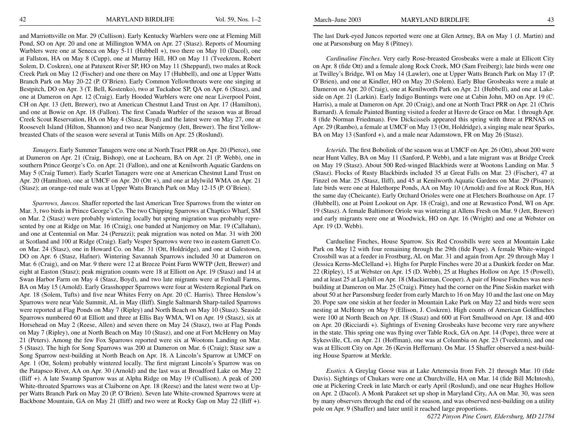and Marriottsville on Mar. 29 (Cullison). Early Kentucky Warblers were one at Fleming Mill Pond, SO on Apr. 20 and one at Millington WMA on Apr. 27 (Stasz). Reports of Mourning Warblers were one at Seneca on May 5-11 (Hubbell +), two there on May 10 (Dacol), one at Fallston, HA on May 8 (Cupp), one at Murray Hill, HO on May 11 (Tveekrem, Robert Solem, D. Coskren), one at Patuxent River SP, HO on May 11 (Sheppard), two males at Rock Creek Park on May 12 (Fischer) and one there on May 17 (Hubbell), and one at Upper Watts Branch Park on May 20-22 (P. O'Brien). Early Common Yellowthroats were one singing at Bestpitch, DO on Apr. 3 (T. Bell, Kostenko), two at Tuckahoe SP, QA on Apr. 6 (Stasz), and one at Dameron on Apr. 12 (Craig). Early Hooded Warblers were one near Liverpool Point, CH on Apr. 13 (Jett, Brewer), two at American Chestnut Land Trust on Apr. 17 (Hamilton), and one at Bowie on Apr. 18 (Fallon). The first Canada Warbler of the season was at Broad Creek Scout Reservation, HA on May 4 (Stasz, Boyd) and the latest were on May 27, one at Roosevelt Island (Hilton, Shannon) and two near Nanjemoy (Jett, Brewer). The first Yellowbreasted Chats of the season were several at Tunis Mills on Apr. 25 (Roslund).

*Tanagers.* Early Summer Tanagers were one at North Tract PRR on Apr. 20 (Pierce), one at Dameron on Apr. 21 (Craig, Bishop), one at Lochearn, BA on Apr. 21 (P. Webb), one in southern Prince George's Co. on Apr. 21 (Fallon), and one at Kenilworth Aquatic Gardens on May 5 (Craig Tumer). Early Scarlet Tanagers were one at American Chestnut Land Trust on Apr. 20 (Hamilton), one at UMCF on Apr. 20 (Ott +), and one at Idylwild WMA on Apr. 21 (Stasz); an orange-red male was at Upper Watts Branch Park on May 12-15 (P. O'Brien).

*Sparrows, Juncos.* Shaffer reported the last American Tree Sparrows from the winter on Mar. 3, two birds in Prince George's Co. The two Chipping Sparrows at Chaptico Wharf, SM on Mar. 2 (Stasz) were probably wintering locally but spring migration was probably represented by one at Ridge on Mar. 16 (Craig), one banded at Nanjemoy on Mar. 19 (Callahan), and one at Centennial on Mar. 24 (Peruzzi); peak migration was noted on Mar. 31 with 200 at Scotland and 100 at Ridge (Craig). Early Vesper Sparrows were two in eastern Garrett Co. on Mar. 24 (Stasz), one in Howard Co. on Mar. 31 (Ott, Holdridge), and one at Galestown, DO on Apr. 6 (Stasz, Hafner). Wintering Savannah Sparrows included 30 at Dameron on Mar. 6 (Craig), and on Mar. 9 there were 12 at Breeze Point Farm WWTP (Jett, Brewer) and eight at Easton (Stasz); peak migration counts were 18 at Elliott on Apr. 19 (Stasz) and 14 at Swan Harbor Farm on May 4 (Stasz, Boyd), and two late migrants were at Foxhall Farms, BA on May 15 (Arnold). Early Grasshopper Sparrows were four at Western Regional Park on Apr. 18 (Solem, Tufts) and five near Whites Ferry on Apr. 20 (C. Harris). Three Henslow's Sparrows were near Vale Summit, AL in May (Iliff). Single Saltmarsh Sharp-tailed Sparrows were reported at Flag Ponds on May 7 (Ripley) and North Beach on May 10 (Stasz). Seaside Sparrows numbered 60 at Elliott and three at Ellis Bay WMA, WI on Apr. 19 (Stasz), six at Horsehead on May 2 (Reese, Allen) and seven there on May 24 (Stasz), two at Flag Ponds on May 7 (Ripley), one at North Beach on May 10 (Stasz), and one at Fort McHenry on May 21 (Peters). Among the few Fox Sparrows reported were six at Wootons Landing on Mar. 5 (Stasz). The high for Song Sparrows was 200 at Dameron on Mar. 6 (Craig); Stasz saw a Song Sparrow nest-building at North Beach on Apr. 18. A Lincoln's Sparrow at UMCF on Apr. 1 (Ott, Solem) probably wintered locally. The first migrant Lincoln's Sparrow was on the Patapsco River, AA on Apr. 30 (Arnold) and the last was at Broadford Lake on May 22 (Iliff +). A late Swamp Sparrow was at Alpha Ridge on May 19 (Cullison). A peak of 200 White-throated Sparrows was at Claiborne on Apr. 18 (Reese) and the latest were two at Upper Watts Branch Park on May 20 (P. O'Brien). Seven late White-crowned Sparrows were at Backbone Mountain, GA on May 21 (Iliff) and two were at Rocky Gap on May 22 (Iliff +).

The last Dark-eyed Juncos reported were one at Glen Artney, BA on May 1 (J. Martin) and one at Parsonsburg on May 8 (Pitney).

*Cardinaline Finches.* Very early Rose-breasted Grosbeaks were a male at Ellicott City on Apr. 8 (fide Ott) and a female along Rock Creek, MO (Sam Freiberg); late birds were one at Twilley's Bridge, WI on May 14 (Lawler), one at Upper Watts Branch Park on May 17 (P. O'Brien), and one at Kindler, HO on May 20 (Solem). Early Blue Grosbeaks were a male at Dameron on Apr. 20 (Craig), one at Kenilworth Park on Apr. 21 (Hubbell), and one at Lakeside on Apr. 21 (Larkin). Early Indigo Buntings were one at Cabin John, MO on Apr. 19 (C. Harris), a male at Dameron on Apr. 20 (Craig), and one at North Tract PRR on Apr. 21 (Chris Barnard). A female Painted Bunting visited a feeder at Havre de Grace on Mar. 1 through Apr. 8 (fide Norman Friedman). Few Dickcissels appeared this spring with three at PRNAS on Apr. 29 (Rambo), a female at UMCF on May 13 (Ott, Holdridge), a singing male near Sparks, BA on May 13 (Sanford +), and a male near Adamstown, FR on May 26 (Stasz).

*Icterids.* The first Bobolink of the season was at UMCF on Apr. 26 (Ott), about 200 were near Hunt Valley, BA on May 11 (Sanford, P. Webb), and a late migrant was at Bridge Creek on May 19 (Stasz). About 500 Red-winged Blackbirds were at Wootons Landing on Mar. 5 (Stasz). Flocks of Rusty Blackbirds included 35 at Great Falls on Mar. 23 (Fischer), 47 at Finzel on Mar. 25 (Stasz, Iliff), and 45 at Kenilworth Aquatic Gardens on Mar. 29 (Pisano); late birds were one at Halethorpe Ponds, AA on May 10 (Arnold) and five at Rock Run, HA the same day (Cheicante). Early Orchard Orioles were one at Fletchers Boathouse on Apr. 17 (Hubbell), one at Point Lookout on Apr. 18 (Craig), and one at Rewastico Pond, WI on Apr. 19 (Stasz). A female Baltimore Oriole was wintering at Allens Fresh on Mar. 9 (Jett, Brewer) and early migrants were one at Woodwick, HO on Apr. 16 (Wright) and one at Webster on Apr. 19 (D. Webb).

Cardueline Finches, House Sparrow. Six Red Crossbills were seen at Mountain Lake Park on May 12 with four remaining through the 29th (fide Pope). A female White-winged Crossbill was at a feeder in Frostburg, AL on Mar. 31 and again from Apr. 29 through May 1 (Jessica Kerns-McClelland +). Highs for Purple Finches were 20 at a Dunkirk feeder on Mar. 22 (Ripley), 15 at Webster on Apr. 15 (D. Webb), 25 at Hughes Hollow on Apr. 15 (Powell), and at least 25 at Layhill on Apr. 18 (Mackiernan, Cooper). A pair of House Finches was nestbuilding at Dameron on Mar. 25 (Craig). Pitney had the corner on the Pine Siskin market with about 50 at her Parsonsburg feeder from early March to 16 on May 10 and the last one on May 20. Pope saw one siskin at her feeder in Mountain Lake Park on May 22 and birds were seen nesting at McHenry on May 9 (Ellison, J. Coskren). High counts of American Goldfinches were 100 at North Beach on Apr. 18 (Stasz) and 600 at Fort Smallwood on Apr. 18 and 400 on Apr. 20 (Ricciardi +). Sightings of Evening Grosbeaks have become very rare anywhere in the state. This spring one was flying over Table Rock, GA on Apr. 14 (Pope), three were at Sykesville, CL on Apr. 21 (Hoffman), one was at Columbia on Apr. 23 (Tveekrem), and one was at Ellicott City on Apr. 26 (Kevin Heffernan). On Mar. 15 Shaffer observed a nest-building House Sparrow at Merkle.

*Exotics.* A Greylag Goose was at Lake Artemesia from Feb. 21 through Mar. 10 (fide Davis). Sightings of Chukars were one at Churchville, HA on Mar. 14 (fide Bill McIntosh), one at Pickering Creek in late March or early April (Roslund), and one near Hughes Hollow on Apr. 2 (Dacol). A Monk Parakeet set up shop in Maryland City, AA on Mar. 30, was seen by many observers through the end of the season, and was observed nest-building on a utility pole on Apr. 9 (Shaffer) and later until it reached large proportions.

*6272 Pinyon Pine Court, Eldersburg, MD 21784*